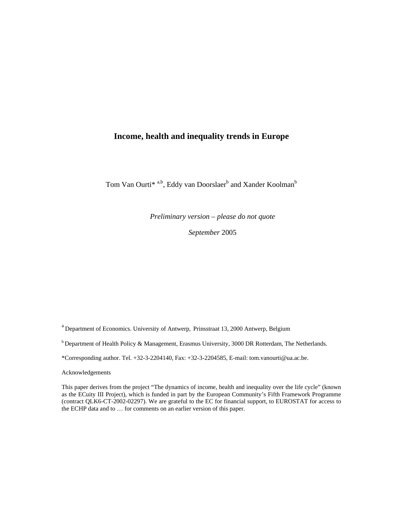# **Income, health and inequality trends in Europe**

Tom Van Ourti<sup>\* a,b</sup>, Eddy van Doorslaer<sup>b</sup> and Xander Koolman<sup>b</sup>

*Preliminary version – please do not quote* 

*September* 2005

a Department of Economics. University of Antwerp, Prinsstraat 13, 2000 Antwerp, Belgium

<sup>b</sup> Department of Health Policy & Management, Erasmus University, 3000 DR Rotterdam, The Netherlands.

\*Corresponding author. Tel. +32-3-2204140, Fax: +32-3-2204585, E-mail: tom.vanourti@ua.ac.be.

Acknowledgements

This paper derives from the project "The dynamics of income, health and inequality over the life cycle" (known as the ECuity III Project), which is funded in part by the European Community's Fifth Framework Programme (contract QLK6-CT-2002-02297). We are grateful to the EC for financial support, to EUROSTAT for access to the ECHP data and to … for comments on an earlier version of this paper.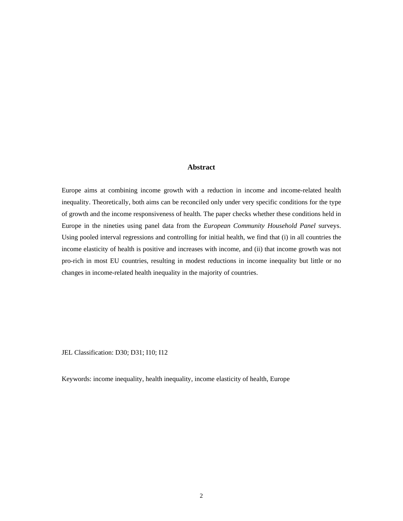## **Abstract**

Europe aims at combining income growth with a reduction in income and income-related health inequality. Theoretically, both aims can be reconciled only under very specific conditions for the type of growth and the income responsiveness of health. The paper checks whether these conditions held in Europe in the nineties using panel data from the *European Community Household Panel* surveys. Using pooled interval regressions and controlling for initial health, we find that (i) in all countries the income elasticity of health is positive and increases with income, and (ii) that income growth was not pro-rich in most EU countries, resulting in modest reductions in income inequality but little or no changes in income-related health inequality in the majority of countries.

JEL Classification: D30; D31; I10; I12

Keywords: income inequality, health inequality, income elasticity of health, Europe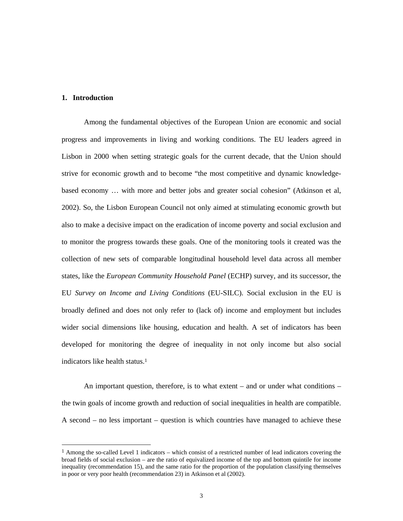## **1. Introduction**

-

Among the fundamental objectives of the European Union are economic and social progress and improvements in living and working conditions. The EU leaders agreed in Lisbon in 2000 when setting strategic goals for the current decade, that the Union should strive for economic growth and to become "the most competitive and dynamic knowledgebased economy … with more and better jobs and greater social cohesion" (Atkinson et al, 2002). So, the Lisbon European Council not only aimed at stimulating economic growth but also to make a decisive impact on the eradication of income poverty and social exclusion and to monitor the progress towards these goals. One of the monitoring tools it created was the collection of new sets of comparable longitudinal household level data across all member states, like the *European Community Household Panel* (ECHP) survey, and its successor, the EU *Survey on Income and Living Conditions* (EU-SILC). Social exclusion in the EU is broadly defined and does not only refer to (lack of) income and employment but includes wider social dimensions like housing, education and health. A set of indicators has been developed for monitoring the degree of inequality in not only income but also social indicators like health status.<sup>1</sup>

An important question, therefore, is to what extent – and or under what conditions – the twin goals of income growth and reduction of social inequalities in health are compatible. A second – no less important – question is which countries have managed to achieve these

<sup>1</sup> Among the so-called Level 1 indicators – which consist of a restricted number of lead indicators covering the broad fields of social exclusion – are the ratio of equivalized income of the top and bottom quintile for income inequality (recommendation 15), and the same ratio for the proportion of the population classifying themselves in poor or very poor health (recommendation 23) in Atkinson et al (2002).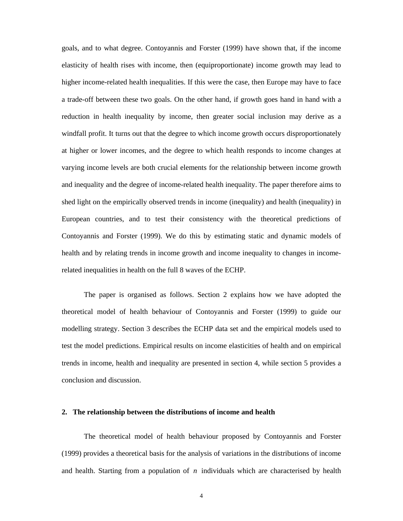goals, and to what degree. Contoyannis and Forster (1999) have shown that, if the income elasticity of health rises with income, then (equiproportionate) income growth may lead to higher income-related health inequalities. If this were the case, then Europe may have to face a trade-off between these two goals. On the other hand, if growth goes hand in hand with a reduction in health inequality by income, then greater social inclusion may derive as a windfall profit. It turns out that the degree to which income growth occurs disproportionately at higher or lower incomes, and the degree to which health responds to income changes at varying income levels are both crucial elements for the relationship between income growth and inequality and the degree of income-related health inequality. The paper therefore aims to shed light on the empirically observed trends in income (inequality) and health (inequality) in European countries, and to test their consistency with the theoretical predictions of Contoyannis and Forster (1999). We do this by estimating static and dynamic models of health and by relating trends in income growth and income inequality to changes in incomerelated inequalities in health on the full 8 waves of the ECHP.

The paper is organised as follows. Section 2 explains how we have adopted the theoretical model of health behaviour of Contoyannis and Forster (1999) to guide our modelling strategy. Section 3 describes the ECHP data set and the empirical models used to test the model predictions. Empirical results on income elasticities of health and on empirical trends in income, health and inequality are presented in section 4, while section 5 provides a conclusion and discussion.

## **2. The relationship between the distributions of income and health**

The theoretical model of health behaviour proposed by Contoyannis and Forster (1999) provides a theoretical basis for the analysis of variations in the distributions of income and health. Starting from a population of *n* individuals which are characterised by health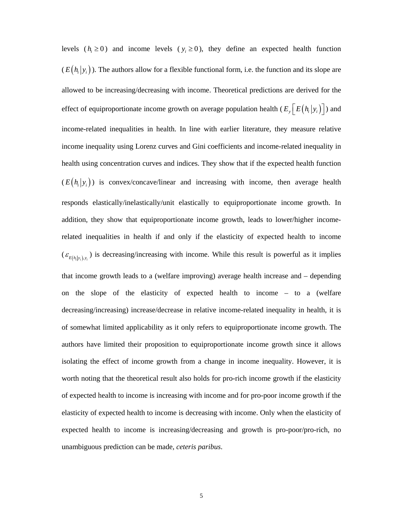levels ( $h_i \ge 0$ ) and income levels ( $y_i \ge 0$ ), they define an expected health function  $(E(h_i|y_i))$ . The authors allow for a flexible functional form, i.e. the function and its slope are allowed to be increasing/decreasing with income. Theoretical predictions are derived for the effect of equiproportionate income growth on average population health  $(E_y\left[E\left(h_i|y_i\right)\right])$  and income-related inequalities in health. In line with earlier literature, they measure relative income inequality using Lorenz curves and Gini coefficients and income-related inequality in health using concentration curves and indices. They show that if the expected health function  $(E(h_i|y_i))$  is convex/concave/linear and increasing with income, then average health responds elastically/inelastically/unit elastically to equiproportionate income growth. In addition, they show that equiproportionate income growth, leads to lower/higher incomerelated inequalities in health if and only if the elasticity of expected health to income  $(\varepsilon_{E(h_i|y_i), y_i})$  is decreasing/increasing with income. While this result is powerful as it implies that income growth leads to a (welfare improving) average health increase and – depending on the slope of the elasticity of expected health to income – to a (welfare decreasing/increasing) increase/decrease in relative income-related inequality in health, it is of somewhat limited applicability as it only refers to equiproportionate income growth. The authors have limited their proposition to equiproportionate income growth since it allows isolating the effect of income growth from a change in income inequality. However, it is worth noting that the theoretical result also holds for pro-rich income growth if the elasticity of expected health to income is increasing with income and for pro-poor income growth if the elasticity of expected health to income is decreasing with income. Only when the elasticity of expected health to income is increasing/decreasing and growth is pro-poor/pro-rich, no unambiguous prediction can be made, *ceteris paribus*.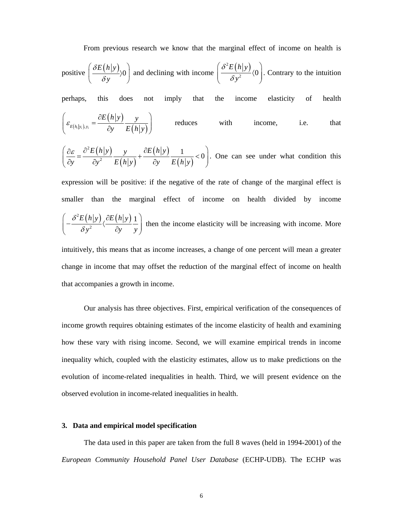From previous research we know that the marginal effect of income on health is

positive 
$$
\left(\frac{\delta E(h|y)}{\delta y}\right)
$$
 and declining with income  $\left(\frac{\delta^2 E(h|y)}{\delta y^2}\right)$ . Contrary to the intuition

perhaps, this does not imply that the income elasticity of health

$$
\left(\varepsilon_{E(h_i|y_i),y_i} = \frac{\partial E(h|y)}{\partial y} \frac{y}{E(h|y)}\right) \qquad \text{reduces} \qquad \text{with} \qquad \text{income}, \qquad \text{i.e.} \qquad \text{that}
$$

$$
\left(\frac{\partial \varepsilon}{\partial y} = \frac{\partial^2 E(h|y)}{\partial y^2} \frac{y}{E(h|y)} + \frac{\partial E(h|y)}{\partial y} \frac{1}{E(h|y)} < 0\right).
$$
 One can see under what condition this

expression will be positive: if the negative of the rate of change of the marginal effect is smaller than the marginal effect of income on health divided by income  $^{2}E(h|y)$ ,  $\partial E(h|y)$ 2  $E(h|y)$   $\partial E(h|y)$  1  $y^2$   $\partial y$  *y* δ  $\left(-\frac{\delta^2 E(h|{\bf y})}{\delta {\bf y}^2} \langle \frac{\partial E(h|{\bf y})}{\partial {\bf y}} \frac{1}{\bf y} \right)$ then the income elasticity will be increasing with income. More

intuitively, this means that as income increases, a change of one percent will mean a greater change in income that may offset the reduction of the marginal effect of income on health that accompanies a growth in income.

Our analysis has three objectives. First, empirical verification of the consequences of income growth requires obtaining estimates of the income elasticity of health and examining how these vary with rising income. Second, we will examine empirical trends in income inequality which, coupled with the elasticity estimates, allow us to make predictions on the evolution of income-related inequalities in health. Third, we will present evidence on the observed evolution in income-related inequalities in health.

### **3. Data and empirical model specification**

The data used in this paper are taken from the full 8 waves (held in 1994-2001) of the *European Community Household Panel User Database* (ECHP-UDB). The ECHP was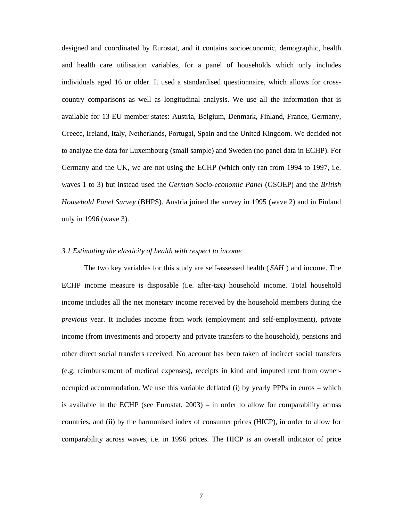designed and coordinated by Eurostat, and it contains socioeconomic, demographic, health and health care utilisation variables, for a panel of households which only includes individuals aged 16 or older. It used a standardised questionnaire, which allows for crosscountry comparisons as well as longitudinal analysis. We use all the information that is available for 13 EU member states: Austria, Belgium, Denmark, Finland, France, Germany, Greece, Ireland, Italy, Netherlands, Portugal, Spain and the United Kingdom. We decided not to analyze the data for Luxembourg (small sample) and Sweden (no panel data in ECHP). For Germany and the UK, we are not using the ECHP (which only ran from 1994 to 1997, i.e. waves 1 to 3) but instead used the *German Socio-economic Panel* (GSOEP) and the *British Household Panel Survey* (BHPS). Austria joined the survey in 1995 (wave 2) and in Finland only in 1996 (wave 3).

## *3.1 Estimating the elasticity of health with respect to income*

The two key variables for this study are self-assessed health ( *SAH* ) and income. The ECHP income measure is disposable (i.e. after-tax) household income. Total household income includes all the net monetary income received by the household members during the *previous* year. It includes income from work (employment and self-employment), private income (from investments and property and private transfers to the household), pensions and other direct social transfers received. No account has been taken of indirect social transfers (e.g. reimbursement of medical expenses), receipts in kind and imputed rent from owneroccupied accommodation. We use this variable deflated (i) by yearly PPPs in euros – which is available in the ECHP (see Eurostat, 2003) – in order to allow for comparability across countries, and (ii) by the harmonised index of consumer prices (HICP), in order to allow for comparability across waves, i.e. in 1996 prices. The HICP is an overall indicator of price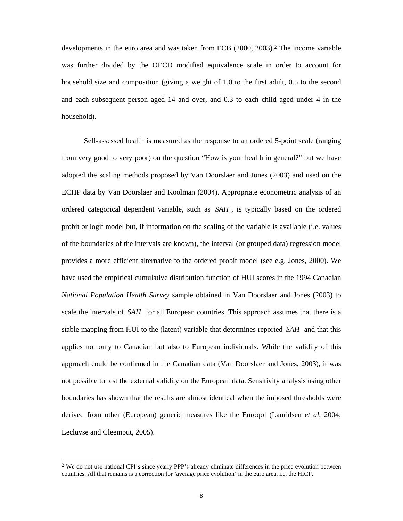developments in the euro area and was taken from ECB (2000, 2003).<sup>2</sup> The income variable was further divided by the OECD modified equivalence scale in order to account for household size and composition (giving a weight of 1.0 to the first adult, 0.5 to the second and each subsequent person aged 14 and over, and 0.3 to each child aged under 4 in the household).

Self-assessed health is measured as the response to an ordered 5-point scale (ranging from very good to very poor) on the question "How is your health in general?" but we have adopted the scaling methods proposed by Van Doorslaer and Jones (2003) and used on the ECHP data by Van Doorslaer and Koolman (2004). Appropriate econometric analysis of an ordered categorical dependent variable, such as *SAH* , is typically based on the ordered probit or logit model but, if information on the scaling of the variable is available (i.e. values of the boundaries of the intervals are known), the interval (or grouped data) regression model provides a more efficient alternative to the ordered probit model (see e.g. Jones, 2000). We have used the empirical cumulative distribution function of HUI scores in the 1994 Canadian *National Population Health Survey* sample obtained in Van Doorslaer and Jones (2003) to scale the intervals of *SAH* for all European countries. This approach assumes that there is a stable mapping from HUI to the (latent) variable that determines reported *SAH* and that this applies not only to Canadian but also to European individuals. While the validity of this approach could be confirmed in the Canadian data (Van Doorslaer and Jones, 2003), it was not possible to test the external validity on the European data. Sensitivity analysis using other boundaries has shown that the results are almost identical when the imposed thresholds were derived from other (European) generic measures like the Euroqol (Lauridsen *et al*, 2004; Lecluyse and Cleemput, 2005).

-

<sup>2</sup> We do not use national CPI's since yearly PPP's already eliminate differences in the price evolution between countries. All that remains is a correction for 'average price evolution' in the euro area, i.e. the HICP.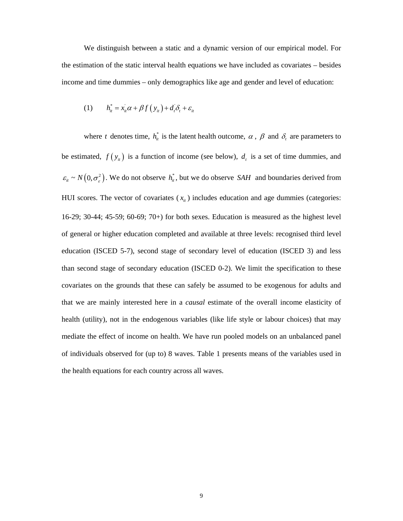We distinguish between a static and a dynamic version of our empirical model. For the estimation of the static interval health equations we have included as covariates – besides income and time dummies – only demographics like age and gender and level of education:

(1) 
$$
h_{it}^* = x_{it}\alpha + \beta f(y_{it}) + d_t \delta_t + \varepsilon_{it}
$$

where *t* denotes time,  $h_{it}^{*}$  is the latent health outcome,  $\alpha$ ,  $\beta$  and  $\delta_{t}$  are parameters to be estimated,  $f(y_{it})$  is a function of income (see below),  $d_t$  is a set of time dummies, and  $\varepsilon_{it} \sim N(0, \sigma_{\varepsilon}^2)$ . We do not observe  $h_{it}^*$ , but we do observe *SAH* and boundaries derived from HUI scores. The vector of covariates  $(x_{it})$  includes education and age dummies (categories: 16-29; 30-44; 45-59; 60-69; 70+) for both sexes. Education is measured as the highest level of general or higher education completed and available at three levels: recognised third level education (ISCED 5-7), second stage of secondary level of education (ISCED 3) and less than second stage of secondary education (ISCED 0-2). We limit the specification to these covariates on the grounds that these can safely be assumed to be exogenous for adults and that we are mainly interested here in a *causal* estimate of the overall income elasticity of health (utility), not in the endogenous variables (like life style or labour choices) that may mediate the effect of income on health. We have run pooled models on an unbalanced panel of individuals observed for (up to) 8 waves. Table 1 presents means of the variables used in the health equations for each country across all waves.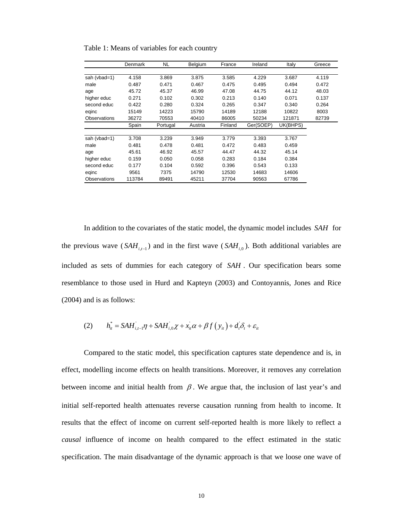|                     | Denmark | NL.      | Belgium | France  | Ireland   | Italy    | Greece |
|---------------------|---------|----------|---------|---------|-----------|----------|--------|
|                     |         |          |         |         |           |          |        |
| sah (vbad=1)        | 4.158   | 3.869    | 3.875   | 3.585   | 4.229     | 3.687    | 4.119  |
| male                | 0.487   | 0.471    | 0.467   | 0.475   | 0.495     | 0.494    | 0.472  |
| age                 | 45.72   | 45.37    | 46.99   | 47.08   | 44.75     | 44.12    | 48.03  |
| higher educ         | 0.271   | 0.102    | 0.302   | 0.213   | 0.140     | 0.071    | 0.137  |
| second educ         | 0.422   | 0.280    | 0.324   | 0.265   | 0.347     | 0.340    | 0.264  |
| eqinc               | 15149   | 14223    | 15790   | 14189   | 12188     | 10822    | 8003   |
| Observations        | 36272   | 70553    | 40410   | 86005   | 50234     | 121871   | 82739  |
|                     | Spain   | Portugal | Austria | Finland | Ger(SOEP) | UK(BHPS) |        |
|                     |         |          |         |         |           |          |        |
| sah (vbad=1)        | 3.708   | 3.239    | 3.949   | 3.779   | 3.393     | 3.767    |        |
| male                | 0.481   | 0.478    | 0.481   | 0.472   | 0.483     | 0.459    |        |
| age                 | 45.61   | 46.92    | 45.57   | 44.47   | 44.32     | 45.14    |        |
| higher educ         | 0.159   | 0.050    | 0.058   | 0.283   | 0.184     | 0.384    |        |
| second educ         | 0.177   | 0.104    | 0.592   | 0.396   | 0.543     | 0.133    |        |
| eqinc               | 9561    | 7375     | 14790   | 12530   | 14683     | 14606    |        |
| <b>Observations</b> | 113784  | 89491    | 45211   | 37704   | 90563     | 67786    |        |

Table 1: Means of variables for each country

In addition to the covariates of the static model, the dynamic model includes *SAH* for the previous wave ( $SAH_{i,t-1}$ ) and in the first wave ( $SAH_{i,0}$ ). Both additional variables are included as sets of dummies for each category of *SAH* . Our specification bears some resemblance to those used in Hurd and Kapteyn (2003) and Contoyannis, Jones and Rice (2004) and is as follows:

(2) 
$$
h_{ii}^* = SAH_{i,t-1}^* \eta + SAH_{i,0}^* \chi + x_{ii} \alpha + \beta f(y_{ii}) + d_i \delta_t + \varepsilon_{ii}
$$

Compared to the static model, this specification captures state dependence and is, in effect, modelling income effects on health transitions. Moreover, it removes any correlation between income and initial health from  $\beta$ . We argue that, the inclusion of last year's and initial self-reported health attenuates reverse causation running from health to income. It results that the effect of income on current self-reported health is more likely to reflect a *causal* influence of income on health compared to the effect estimated in the static specification. The main disadvantage of the dynamic approach is that we loose one wave of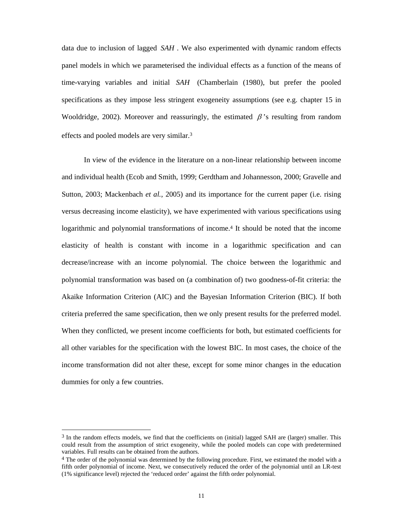data due to inclusion of lagged *SAH* . We also experimented with dynamic random effects panel models in which we parameterised the individual effects as a function of the means of time-varying variables and initial *SAH* (Chamberlain (1980), but prefer the pooled specifications as they impose less stringent exogeneity assumptions (see e.g. chapter 15 in Wooldridge, 2002). Moreover and reassuringly, the estimated  $\beta$ 's resulting from random effects and pooled models are very similar.3

In view of the evidence in the literature on a non-linear relationship between income and individual health (Ecob and Smith, 1999; Gerdtham and Johannesson, 2000; Gravelle and Sutton, 2003; Mackenbach *et al.*, 2005) and its importance for the current paper (i.e. rising versus decreasing income elasticity), we have experimented with various specifications using logarithmic and polynomial transformations of income.<sup>4</sup> It should be noted that the income elasticity of health is constant with income in a logarithmic specification and can decrease/increase with an income polynomial. The choice between the logarithmic and polynomial transformation was based on (a combination of) two goodness-of-fit criteria: the Akaike Information Criterion (AIC) and the Bayesian Information Criterion (BIC). If both criteria preferred the same specification, then we only present results for the preferred model. When they conflicted, we present income coefficients for both, but estimated coefficients for all other variables for the specification with the lowest BIC. In most cases, the choice of the income transformation did not alter these, except for some minor changes in the education dummies for only a few countries.

-

<sup>3</sup> In the random effects models, we find that the coefficients on (initial) lagged SAH are (larger) smaller. This could result from the assumption of strict exogeneity, while the pooled models can cope with predetermined variables. Full results can be obtained from the authors.

<sup>&</sup>lt;sup>4</sup> The order of the polynomial was determined by the following procedure. First, we estimated the model with a fifth order polynomial of income. Next, we consecutively reduced the order of the polynomial until an LR-test (1% significance level) rejected the 'reduced order' against the fifth order polynomial.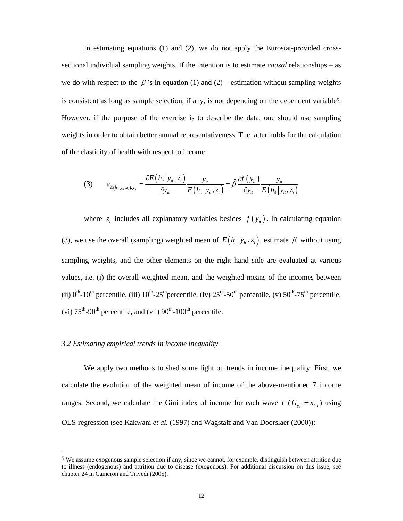In estimating equations (1) and (2), we do not apply the Eurostat-provided crosssectional individual sampling weights. If the intention is to estimate *causal* relationships – as we do with respect to the  $\beta$ 's in equation (1) and (2) – estimation without sampling weights is consistent as long as sample selection, if any, is not depending on the dependent variable5. However, if the purpose of the exercise is to describe the data, one should use sampling weights in order to obtain better annual representativeness. The latter holds for the calculation of the elasticity of health with respect to income:

$$
(3) \qquad \varepsilon_{E(h_{ii}|y_{ii},z_i),y_{ii}} = \frac{\partial E\left(h_{ii}|y_{ii},z_i\right)}{\partial y_{ii}} \frac{y_{ii}}{E\left(h_{i}||y_{ii},z_i\right)} = \hat{\beta} \frac{\partial f\left(y_{ii}\right)}{\partial y_{ii}} \frac{y_{ii}}{E\left(h_{i}||y_{ii},z_i\right)}
$$

where  $z_i$  includes all explanatory variables besides  $f(y_i)$ . In calculating equation (3), we use the overall (sampling) weighted mean of  $E(h_i|y_i, z_i)$ , estimate  $\beta$  without using sampling weights, and the other elements on the right hand side are evaluated at various values, i.e. (i) the overall weighted mean, and the weighted means of the incomes between (ii)  $0^{th}$ -10<sup>th</sup> percentile, (iii)  $10^{th}$ -25<sup>th</sup> percentile, (iv)  $25^{th}$ -50<sup>th</sup> percentile, (v)  $50^{th}$ -75<sup>th</sup> percentile, (vi)  $75<sup>th</sup>$ -90<sup>th</sup> percentile, and (vii)  $90<sup>th</sup>$ -100<sup>th</sup> percentile.

### *3.2 Estimating empirical trends in income inequality*

-

We apply two methods to shed some light on trends in income inequality. First, we calculate the evolution of the weighted mean of income of the above-mentioned 7 income ranges. Second, we calculate the Gini index of income for each wave  $t$  ( $G_{y,t} = \kappa_{1,t}$ ) using OLS-regression (see Kakwani *et al.* (1997) and Wagstaff and Van Doorslaer (2000)):

<sup>5</sup> We assume exogenous sample selection if any, since we cannot, for example, distinguish between attrition due to illness (endogenous) and attrition due to disease (exogenous). For additional discussion on this issue, see chapter 24 in Cameron and Trivedi (2005).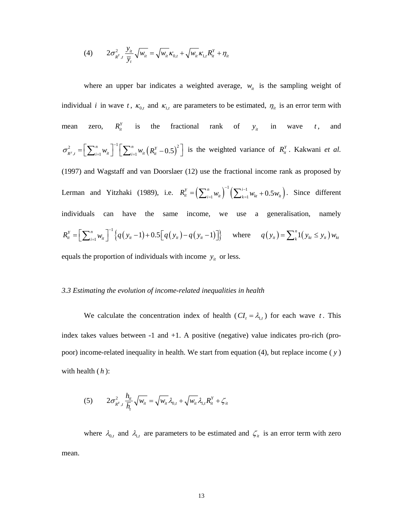(4) 
$$
2\sigma_{R^{Y},t}^{2} \frac{y_{it}}{\overline{y}_{t}} \sqrt{w_{it}} = \sqrt{w_{it}} \kappa_{0,t} + \sqrt{w_{it}} \kappa_{1,t} R_{it}^{Y} + \eta_{it}
$$

where an upper bar indicates a weighted average,  $w_{it}$  is the sampling weight of individual *i* in wave *t*,  $\kappa_{0,t}$  and  $\kappa_{1,t}$  are parameters to be estimated,  $\eta_{it}$  is an error term with mean zero,  $R_i^Y$  is the fractional rank of  $y_i$  in wave *t*, and  $\sigma_{R^y,t}^2 = \left[\sum_{i=1}^n w_{it}\right]^{-1} \left[\sum_{i=1}^n w_{it} \left(R_{it}^y - 0.5\right)^2\right]$  is the weighted variance of  $R_{it}^y$ . Kakwani *et al.* (1997) and Wagstaff and van Doorslaer (12) use the fractional income rank as proposed by Lerman and Yitzhaki (1989), i.e.  $R_{it}^{Y} = \left( \sum_{i=1}^{n} w_{it} \right)^{-1} \left( \sum_{k=1}^{i-1} w_{kt} + 0.5 w_{it} \right)$ . Since different individuals can have the same income, we use a generalisation, namely  ${R_{ii}^Y} = \left[ \sum_{i=1}^n w_{ii} \right]^{-1} \left\{ q \left( y_{ii} - 1 \right) + 0.5 \left[ q \left( y_{ii} \right) - q \left( y_{ii} - 1 \right) \right] \right\}$  where  $q \left( y_{ii} \right) = \sum_{k=1}^n 1 \left( y_{ki} \le y_{ii} \right) w_{ki}$ equals the proportion of individuals with income  $y_i$  or less.

#### *3.3 Estimating the evolution of income-related inequalities in health*

We calculate the concentration index of health  $(Cl_t = \lambda_{1,t})$  for each wave *t*. This index takes values between  $-1$  and  $+1$ . A positive (negative) value indicates pro-rich (propoor) income-related inequality in health. We start from equation (4), but replace income ( *y* ) with health ( *h* ):

$$
(5) \qquad 2\sigma_{R^{\nu},t}^{2}\frac{h_{it}}{\overline{h}_{t}}\sqrt{w_{it}} = \sqrt{w_{it}}\lambda_{0,t} + \sqrt{w_{it}}\lambda_{1,t}R_{it}^{\nu} + \zeta_{it}
$$

where  $\lambda_{0,t}$  and  $\lambda_{1,t}$  are parameters to be estimated and  $\zeta_{it}$  is an error term with zero mean.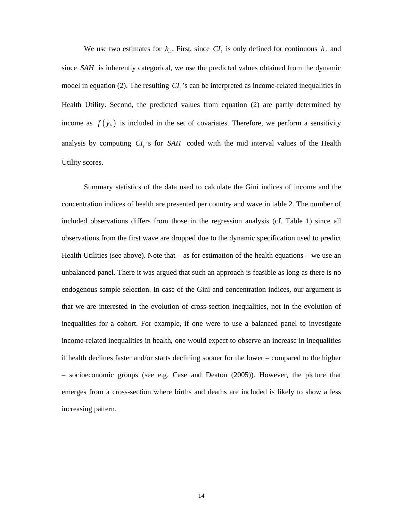We use two estimates for  $h_{i}$ . First, since  $CI_{t}$  is only defined for continuous h, and since *SAH* is inherently categorical, we use the predicted values obtained from the dynamic model in equation (2). The resulting *CI*, 's can be interpreted as income-related inequalities in Health Utility. Second, the predicted values from equation (2) are partly determined by income as  $f(y_i)$  is included in the set of covariates. Therefore, we perform a sensitivity analysis by computing *CI*,'s for *SAH* coded with the mid interval values of the Health Utility scores.

Summary statistics of the data used to calculate the Gini indices of income and the concentration indices of health are presented per country and wave in table 2. The number of included observations differs from those in the regression analysis (cf. Table 1) since all observations from the first wave are dropped due to the dynamic specification used to predict Health Utilities (see above). Note that  $-$  as for estimation of the health equations  $-$  we use an unbalanced panel. There it was argued that such an approach is feasible as long as there is no endogenous sample selection. In case of the Gini and concentration indices, our argument is that we are interested in the evolution of cross-section inequalities, not in the evolution of inequalities for a cohort. For example, if one were to use a balanced panel to investigate income-related inequalities in health, one would expect to observe an increase in inequalities if health declines faster and/or starts declining sooner for the lower – compared to the higher – socioeconomic groups (see e.g. Case and Deaton (2005)). However, the picture that emerges from a cross-section where births and deaths are included is likely to show a less increasing pattern.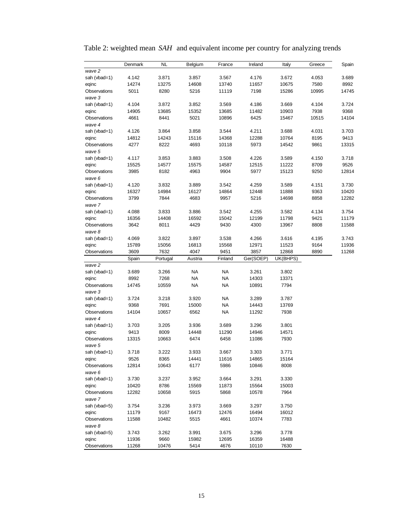|                                                                                                                                                                | Denmark        | NL            | Belgium | France         | Ireland        | Italy          | Greece | Spain |
|----------------------------------------------------------------------------------------------------------------------------------------------------------------|----------------|---------------|---------|----------------|----------------|----------------|--------|-------|
| wave 2                                                                                                                                                         |                |               |         |                |                |                |        | 3.689 |
| sah (vbad=1)                                                                                                                                                   | 4.142          | 3.871         | 3.857   | 3.567          | 4.176          | 3.672          | 4.053  |       |
| eqinc                                                                                                                                                          | 14274          | 13275         | 14608   | 13740          | 11657          | 10675          | 7580   | 8992  |
| Observations                                                                                                                                                   | 5011           | 8280          | 5216    | 11119          | 7198           | 15286          | 10995  | 14745 |
| wave 3                                                                                                                                                         |                |               |         |                |                |                |        |       |
| sah (vbad=1)                                                                                                                                                   | 4.104          | 3.872         | 3.852   | 3.569          | 4.186          | 3.669          | 4.104  | 3.724 |
| eqinc                                                                                                                                                          | 14905          | 13685         | 15352   | 13685          | 11482          | 10903          | 7938   | 9368  |
| Observations<br>wave 4                                                                                                                                         | 4661           | 8441          | 5021    | 10896          | 6425           | 15467          | 10515  | 14104 |
| sah (vbad=1)                                                                                                                                                   | 4.126          | 3.864         | 3.858   | 3.544          | 4.211          | 3.688          | 4.031  | 3.703 |
| eqinc                                                                                                                                                          | 14812          | 14243         | 15116   | 14368          | 12288          | 10764          | 8195   | 9413  |
| Observations                                                                                                                                                   | 4277           | 8222          | 4693    | 10118          | 5973           | 14542          | 9861   | 13315 |
| wave 5                                                                                                                                                         |                |               |         |                |                |                |        |       |
| sah (vbad=1)                                                                                                                                                   | 4.117          | 3.853         | 3.883   | 3.508          | 4.226          | 3.589          | 4.150  | 3.718 |
| eqinc                                                                                                                                                          | 15525          | 14577         | 15575   | 14587          | 12515          | 11222          | 8709   | 9526  |
| Observations                                                                                                                                                   | 3985           | 8182          | 4963    | 9904           | 5977           | 15123          | 9250   | 12814 |
| wave 6                                                                                                                                                         |                |               |         |                |                |                |        |       |
| sah (vbad=1)                                                                                                                                                   | 4.120          | 3.832         | 3.889   | 3.542          | 4.259          | 3.589          | 4.151  | 3.730 |
| eqinc                                                                                                                                                          | 16327          | 14984         | 16127   | 14864          | 12448          | 11888          | 9363   | 10420 |
| Observations                                                                                                                                                   | 3799           | 7844          | 4683    | 9957           | 5216           | 14698          | 8858   | 12282 |
| wave 7                                                                                                                                                         |                |               |         |                |                |                |        |       |
| sah (vbad=1)                                                                                                                                                   | 4.088          | 3.833         | 3.886   | 3.542          | 4.255          | 3.582          | 4.134  | 3.754 |
| eqinc                                                                                                                                                          | 16356          | 14408         | 16592   | 15042          | 12199          | 11798          | 9421   | 11179 |
| Observations                                                                                                                                                   | 3642           | 8011          | 4429    | 9430           | 4300           | 13967          | 8808   | 11588 |
| wave 8                                                                                                                                                         |                |               |         |                |                |                |        |       |
| sah (vbad=1)                                                                                                                                                   | 4.069          | 3.822         | 3.897   | 3.538          | 4.266          | 3.616          | 4.195  | 3.743 |
| eqinc                                                                                                                                                          | 15789          | 15056         | 16813   | 15568          | 12971          | 11523          | 9164   | 11936 |
| Observations                                                                                                                                                   | 3609           | 7632          | 4047    | 9451           | 3857           | 12868          | 8890   | 11268 |
|                                                                                                                                                                | Spain          | Portugal      | Austria | Finland        | Ger(SOEP)      | UK(BHPS)       |        |       |
| wave 2                                                                                                                                                         |                |               |         |                |                |                |        |       |
| sah (vbad=1)                                                                                                                                                   | 3.689          | 3.266         | NA      | <b>NA</b>      | 3.261          | 3.802          |        |       |
| eqinc                                                                                                                                                          | 8992           | 7268          | ΝA      | ΝA             | 14303          | 13371          |        |       |
| Observations                                                                                                                                                   | 14745          | 10559         | NA      | ΝA             | 10891          | 7794           |        |       |
| wave 3                                                                                                                                                         |                |               |         |                |                |                |        |       |
| sah (vbad=1)                                                                                                                                                   | 3.724          | 3.218         | 3.920   | NA             | 3.289          | 3.787          |        |       |
| eqinc                                                                                                                                                          | 9368           | 7691          | 15000   | <b>NA</b>      | 14443          | 13769          |        |       |
| Observations                                                                                                                                                   | 14104          | 10657         | 6562    | NA             | 11292          | 7938           |        |       |
| wave 4<br>sah (vbad=1)                                                                                                                                         | 3.703          | 3.205         | 3.936   | 3.689          | 3.296          | 3.801          |        |       |
| eqinc                                                                                                                                                          | 9413           | 8009          | 14448   | 11290          | 14946          | 14571          |        |       |
| Observations                                                                                                                                                   | 13315          | 10663         | 6474    | 6458           | 11086          | 7930           |        |       |
| wave 5                                                                                                                                                         |                |               |         |                |                |                |        |       |
| sah (vbad=1)                                                                                                                                                   | 3.718          | 3.222         | 3.933   | 3.667          | 3.303          | 3.771          |        |       |
|                                                                                                                                                                |                |               |         |                |                | 15164          |        |       |
|                                                                                                                                                                |                |               |         |                |                |                |        |       |
|                                                                                                                                                                | 9526           | 8365          | 14441   | 11616          | 14865          |                |        |       |
|                                                                                                                                                                | 12814          | 10643         | 6177    | 5986           | 10846          | 8008           |        |       |
|                                                                                                                                                                |                |               |         |                |                |                |        |       |
|                                                                                                                                                                | 3.730          | 3.237         | 3.952   | 3.664          | 3.291          | 3.330          |        |       |
|                                                                                                                                                                | 10420          | 8786          | 15569   | 11873          | 15564          | 15003          |        |       |
|                                                                                                                                                                | 12282          | 10658         | 5915    | 5868           | 10578          | 7964           |        |       |
|                                                                                                                                                                |                |               |         |                |                |                |        |       |
|                                                                                                                                                                | 3.754          | 3.236         | 3.973   | 3.669          | 3.297          | 3.750          |        |       |
|                                                                                                                                                                | 11179          | 9167<br>10482 | 16473   | 12476<br>4661  | 16494<br>10374 | 16012          |        |       |
|                                                                                                                                                                | 11588          |               | 5515    |                |                | 7783           |        |       |
|                                                                                                                                                                |                |               | 3.991   |                | 3.296          |                |        |       |
| eqinc<br>Observations<br>wave 6<br>sah (vbad=1)<br>eqinc<br>Observations<br>wave 7<br>sah (vbad=5)<br>eqinc<br>Observations<br>wave 8<br>sah (vbad=5)<br>eqinc | 3.743<br>11936 | 3.262<br>9660 | 15982   | 3.675<br>12695 | 16359          | 3.778<br>16488 |        |       |

Table 2: weighted mean *SAH* and equivalent income per country for analyzing trends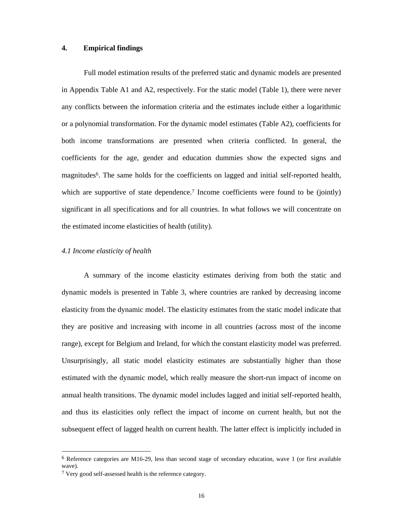## **4. Empirical findings**

Full model estimation results of the preferred static and dynamic models are presented in Appendix Table A1 and A2, respectively. For the static model (Table 1), there were never any conflicts between the information criteria and the estimates include either a logarithmic or a polynomial transformation. For the dynamic model estimates (Table A2), coefficients for both income transformations are presented when criteria conflicted. In general, the coefficients for the age, gender and education dummies show the expected signs and magnitudes<sup>6</sup>. The same holds for the coefficients on lagged and initial self-reported health, which are supportive of state dependence.<sup>7</sup> Income coefficients were found to be (jointly) significant in all specifications and for all countries. In what follows we will concentrate on the estimated income elasticities of health (utility).

### *4.1 Income elasticity of health*

A summary of the income elasticity estimates deriving from both the static and dynamic models is presented in Table 3, where countries are ranked by decreasing income elasticity from the dynamic model. The elasticity estimates from the static model indicate that they are positive and increasing with income in all countries (across most of the income range), except for Belgium and Ireland, for which the constant elasticity model was preferred. Unsurprisingly, all static model elasticity estimates are substantially higher than those estimated with the dynamic model, which really measure the short-run impact of income on annual health transitions. The dynamic model includes lagged and initial self-reported health, and thus its elasticities only reflect the impact of income on current health, but not the subsequent effect of lagged health on current health. The latter effect is implicitly included in

-

<sup>6</sup> Reference categories are M16-29, less than second stage of secondary education, wave 1 (or first available wave).

<sup>7</sup> Very good self-assessed health is the reference category.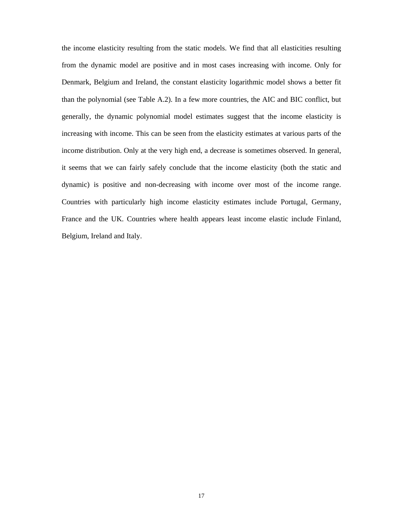the income elasticity resulting from the static models. We find that all elasticities resulting from the dynamic model are positive and in most cases increasing with income. Only for Denmark, Belgium and Ireland, the constant elasticity logarithmic model shows a better fit than the polynomial (see Table A.2). In a few more countries, the AIC and BIC conflict, but generally, the dynamic polynomial model estimates suggest that the income elasticity is increasing with income. This can be seen from the elasticity estimates at various parts of the income distribution. Only at the very high end, a decrease is sometimes observed. In general, it seems that we can fairly safely conclude that the income elasticity (both the static and dynamic) is positive and non-decreasing with income over most of the income range. Countries with particularly high income elasticity estimates include Portugal, Germany, France and the UK. Countries where health appears least income elastic include Finland, Belgium, Ireland and Italy.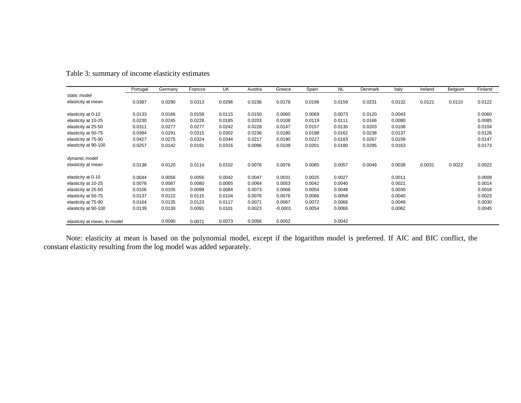|                              | Portugal | Germany | Francce | UK     | Austria | Greece    | Spain  | <b>NL</b> | Denmark | Italy  | Ireland | Belgium | Finland |
|------------------------------|----------|---------|---------|--------|---------|-----------|--------|-----------|---------|--------|---------|---------|---------|
| static model                 |          |         |         |        |         |           |        |           |         |        |         |         |         |
| elasticity at mean           | 0.0387   | 0.0290  | 0.0313  | 0.0296 | 0.0236  | 0.0178    | 0.0196 | 0.0159    | 0.0231  | 0.0132 | 0.0121  | 0.0110  | 0.0122  |
|                              |          |         |         |        |         |           |        |           |         |        |         |         |         |
| elasticity at 0-10           | 0.0133   | 0.0166  | 0.0158  | 0.0115 | 0.0150  | 0.0060    | 0.0069 | 0.0073    | 0.0120  | 0.0043 |         |         | 0.0060  |
| elasticity at 10-25          | 0.0230   | 0.0245  | 0.0228  | 0.0185 | 0.0203  | 0.0108    | 0.0119 | 0.0111    | 0.0166  | 0.0080 |         |         | 0.0085  |
| elasticity at 25-50          | 0.0311   | 0.0277  | 0.0277  | 0.0242 | 0.0228  | 0.0147    | 0.0157 | 0.0135    | 0.0203  | 0.0108 |         |         | 0.0104  |
| elasticity at 50-75          | 0.0384   | 0.0291  | 0.0315  | 0.0302 | 0.0236  | 0.0180    | 0.0198 | 0.0162    | 0.0238  | 0.0137 |         |         | 0.0126  |
| elasticity at 75-90          | 0.0427   | 0.0275  | 0.0324  | 0.0344 | 0.0217  | 0.0190    | 0.0227 | 0.0183    | 0.0267  | 0.0158 |         |         | 0.0147  |
| elasticity at 90-100         | 0.0257   | 0.0142  | 0.0191  | 0.0316 | 0.0096  | 0.0109    | 0.0201 | 0.0180    | 0.0295  | 0.0163 |         |         | 0.0173  |
|                              |          |         |         |        |         |           |        |           |         |        |         |         |         |
| dynamic model                |          |         |         |        |         |           |        |           |         |        |         |         |         |
| elasticity at mean           | 0.0138   | 0.0120  | 0.0114  | 0.0102 | 0.0076  | 0.0076    | 0.0065 | 0.0057    | 0.0049  | 0.0038 | 0.0031  | 0.0022  | 0.0022  |
| elasticity at 0-10           | 0.0044   | 0.0056  | 0.0056  | 0.0042 | 0.0047  | 0.0031    | 0.0025 | 0.0027    |         | 0.0011 |         |         | 0.0009  |
| elasticity at 10-25          | 0.0076   | 0.0087  | 0.0080  | 0.0065 | 0.0064  | 0.0053    | 0.0042 | 0.0040    |         | 0.0021 |         |         | 0.0014  |
| elasticity at 25-50          | 0.0106   | 0.0105  | 0.0099  | 0.0084 | 0.0073  | 0.0068    | 0.0054 | 0.0048    |         | 0.0030 |         |         | 0.0018  |
| elasticity at 50-75          | 0.0137   | 0.0122  | 0.0115  | 0.0104 | 0.0076  | 0.0076    | 0.0066 | 0.0058    |         | 0.0040 |         |         | 0.0023  |
| elasticity at 75-90          | 0.0164   | 0.0135  | 0.0123  | 0.0117 | 0.0071  | 0.0067    | 0.0072 | 0.0066    |         | 0.0049 |         |         | 0.0030  |
| elasticity at 90-100         | 0.0139   | 0.0130  | 0.0091  | 0.0101 | 0.0023  | $-0.0001$ | 0.0054 | 0.0066    |         | 0.0062 |         |         | 0.0045  |
|                              |          |         |         |        |         |           |        |           |         |        |         |         |         |
| elasticity at mean, In-model |          | 0.0090  | 0.0071  | 0.0073 | 0.0056  | 0.0052    |        | 0.0042    |         |        |         |         |         |

# Table 3: summary of income elasticity estimates

Note: elasticity at mean is based on the polynomial model, except if the logarithm model is preferred. If AIC and BIC conflict, the constant elasticity resulting from the log model was added separately.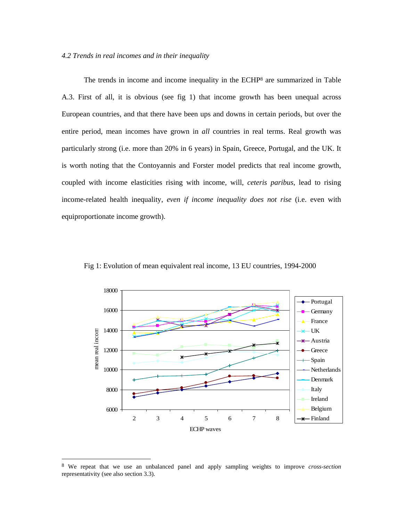### *4.2 Trends in real incomes and in their inequality*

The trends in income and income inequality in the ECHP8 are summarized in Table A.3. First of all, it is obvious (see fig 1) that income growth has been unequal across European countries, and that there have been ups and downs in certain periods, but over the entire period, mean incomes have grown in *all* countries in real terms. Real growth was particularly strong (i.e. more than 20% in 6 years) in Spain, Greece, Portugal, and the UK. It is worth noting that the Contoyannis and Forster model predicts that real income growth, coupled with income elasticities rising with income, will, *ceteris paribus*, lead to rising income-related health inequality, *even if income inequality does not rise* (i.e. even with equiproportionate income growth).



Fig 1: Evolution of mean equivalent real income, 13 EU countries, 1994-2000

-

<sup>8</sup> We repeat that we use an unbalanced panel and apply sampling weights to improve *cross-section*  representativity (see also section 3.3).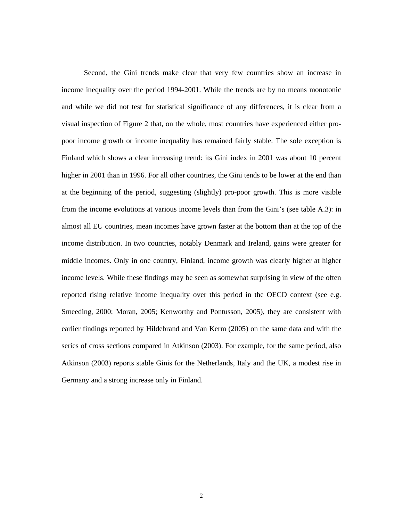Second, the Gini trends make clear that very few countries show an increase in income inequality over the period 1994-2001. While the trends are by no means monotonic and while we did not test for statistical significance of any differences, it is clear from a visual inspection of Figure 2 that, on the whole, most countries have experienced either propoor income growth or income inequality has remained fairly stable. The sole exception is Finland which shows a clear increasing trend: its Gini index in 2001 was about 10 percent higher in 2001 than in 1996. For all other countries, the Gini tends to be lower at the end than at the beginning of the period, suggesting (slightly) pro-poor growth. This is more visible from the income evolutions at various income levels than from the Gini's (see table A.3): in almost all EU countries, mean incomes have grown faster at the bottom than at the top of the income distribution. In two countries, notably Denmark and Ireland, gains were greater for middle incomes. Only in one country, Finland, income growth was clearly higher at higher income levels. While these findings may be seen as somewhat surprising in view of the often reported rising relative income inequality over this period in the OECD context (see e.g. Smeeding, 2000; Moran, 2005; Kenworthy and Pontusson, 2005), they are consistent with earlier findings reported by Hildebrand and Van Kerm (2005) on the same data and with the series of cross sections compared in Atkinson (2003). For example, for the same period, also Atkinson (2003) reports stable Ginis for the Netherlands, Italy and the UK, a modest rise in Germany and a strong increase only in Finland.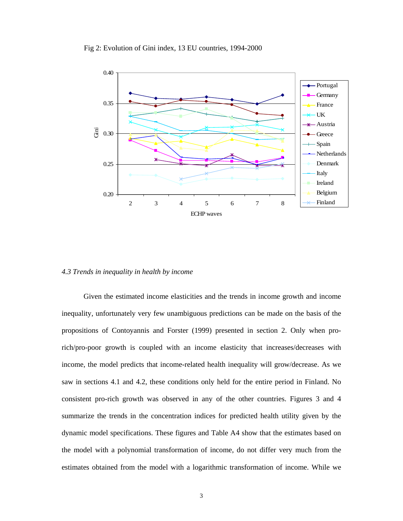

## Fig 2: Evolution of Gini index, 13 EU countries, 1994-2000

# *4.3 Trends in inequality in health by income*

Given the estimated income elasticities and the trends in income growth and income inequality, unfortunately very few unambiguous predictions can be made on the basis of the propositions of Contoyannis and Forster (1999) presented in section 2. Only when prorich/pro-poor growth is coupled with an income elasticity that increases/decreases with income, the model predicts that income-related health inequality will grow/decrease. As we saw in sections 4.1 and 4.2, these conditions only held for the entire period in Finland. No consistent pro-rich growth was observed in any of the other countries. Figures 3 and 4 summarize the trends in the concentration indices for predicted health utility given by the dynamic model specifications. These figures and Table A4 show that the estimates based on the model with a polynomial transformation of income, do not differ very much from the estimates obtained from the model with a logarithmic transformation of income. While we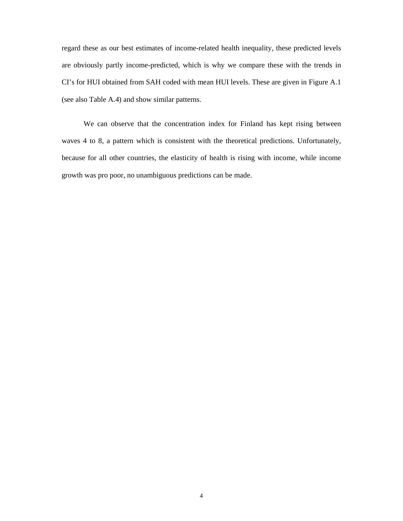regard these as our best estimates of income-related health inequality, these predicted levels are obviously partly income-predicted, which is why we compare these with the trends in CI's for HUI obtained from SAH coded with mean HUI levels. These are given in Figure A.1 (see also Table A.4) and show similar patterns.

We can observe that the concentration index for Finland has kept rising between waves 4 to 8, a pattern which is consistent with the theoretical predictions. Unfortunately, because for all other countries, the elasticity of health is rising with income, while income growth was pro poor, no unambiguous predictions can be made.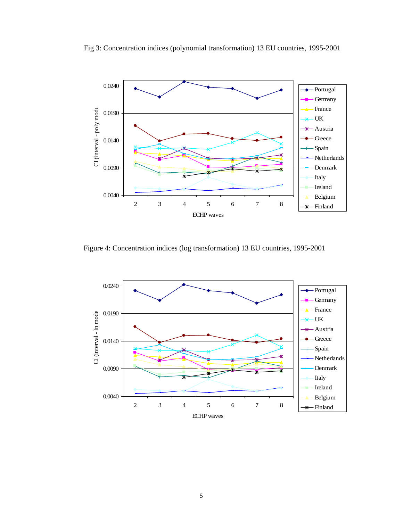

Fig 3: Concentration indices (polynomial transformation) 13 EU countries, 1995-2001

Figure 4: Concentration indices (log transformation) 13 EU countries, 1995-2001

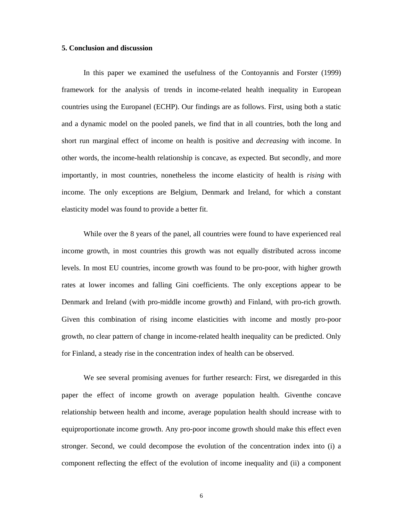## **5. Conclusion and discussion**

In this paper we examined the usefulness of the Contoyannis and Forster (1999) framework for the analysis of trends in income-related health inequality in European countries using the Europanel (ECHP). Our findings are as follows. First, using both a static and a dynamic model on the pooled panels, we find that in all countries, both the long and short run marginal effect of income on health is positive and *decreasing* with income. In other words, the income-health relationship is concave, as expected. But secondly, and more importantly, in most countries, nonetheless the income elasticity of health is *rising* with income. The only exceptions are Belgium, Denmark and Ireland, for which a constant elasticity model was found to provide a better fit.

While over the 8 years of the panel, all countries were found to have experienced real income growth, in most countries this growth was not equally distributed across income levels. In most EU countries, income growth was found to be pro-poor, with higher growth rates at lower incomes and falling Gini coefficients. The only exceptions appear to be Denmark and Ireland (with pro-middle income growth) and Finland, with pro-rich growth. Given this combination of rising income elasticities with income and mostly pro-poor growth, no clear pattern of change in income-related health inequality can be predicted. Only for Finland, a steady rise in the concentration index of health can be observed.

We see several promising avenues for further research: First, we disregarded in this paper the effect of income growth on average population health. Giventhe concave relationship between health and income, average population health should increase with to equiproportionate income growth. Any pro-poor income growth should make this effect even stronger. Second, we could decompose the evolution of the concentration index into (i) a component reflecting the effect of the evolution of income inequality and (ii) a component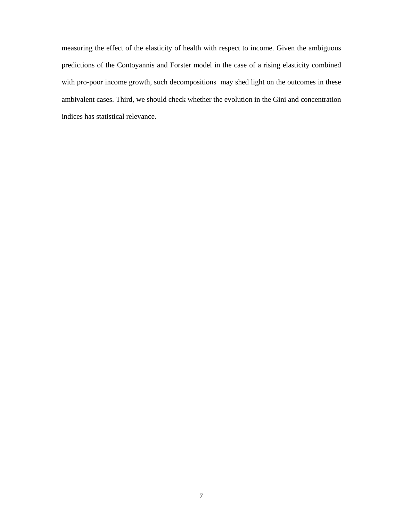measuring the effect of the elasticity of health with respect to income. Given the ambiguous predictions of the Contoyannis and Forster model in the case of a rising elasticity combined with pro-poor income growth, such decompositions may shed light on the outcomes in these ambivalent cases. Third, we should check whether the evolution in the Gini and concentration indices has statistical relevance.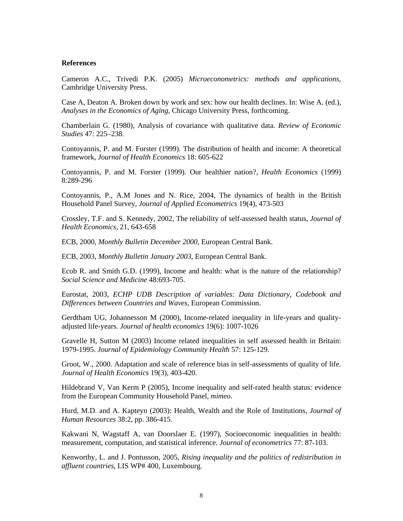# **References**

Cameron A.C., Trivedi P.K. (2005) *Microeconometrics: methods and applications*, Cambridge University Press.

Case A, Deaton A. Broken down by work and sex: how our health declines. In: Wise A. (ed.), *Analyses in the Economics of Aging*, Chicago University Press, forthcoming.

Chamberlain G. (1980), Analysis of covariance with qualitative data. *Review of Economic Studies* 47: 225–238.

Contoyannis, P. and M. Forster (1999). The distribution of health and income: A theoretical framework, *Journal of Health Economics* 18: 605-622

Contoyannis, P. and M. Forster (1999). Our healthier nation?, *Health Economics* (1999) 8:289-296

Contoyannis, P., A.M Jones and N. Rice, 2004, The dynamics of health in the British Household Panel Survey, *Journal of Applied Econometrics* 19(4), 473-503

Crossley, T.F. and S. Kennedy, 2002, The reliability of self-assessed health status, *Journal of Health Economics*, 21, 643-658

ECB, 2000, *Monthly Bulletin December 2000*, European Central Bank.

ECB, 2003, *Monthly Bulletin January 2003*, European Central Bank.

Ecob R. and Smith G.D. (1999), Income and health: what is the nature of the relationship? *Social Science and Medicine* 48:693-705.

Eurostat, 2003, *ECHP UDB Description of variables: Data Dictionary, Codebook and Differences between Countries and Waves*, European Commission.

Gerdtham UG, Johannesson M (2000), Income-related inequality in life-years and qualityadjusted life-years. *Journal of health economics* 19(6): 1007-1026

Gravelle H, Sutton M (2003) Income related inequalities in self assessed health in Britain: 1979-1995. *Journal of Epidemiology Community Health* 57: 125-129.

Groot, W., 2000. Adaptation and scale of reference bias in self-assessments of quality of life. *Journal of Health Economics* 19(3), 403-420.

Hildebrand V, Van Kerm P (2005), Income inequality and self-rated health status: evidence from the European Community Household Panel, *mimeo*.

Hurd, M.D. and A. Kapteyn (2003): Health, Wealth and the Role of Institutions, *Journal of Human Resources* 38:2, pp. 386-415.

Kakwani N, Wagstaff A, van Doorslaer E. (1997), Socioeconomic inequalities in health: measurement, computation, and statistical inference. *Journal of econometrics* 77: 87-103.

Kenworthy, L. and J. Pontusson, 2005, *Rising inequality and the politics of redistribution in affluent countries*, LIS WP# 400, Luxembourg.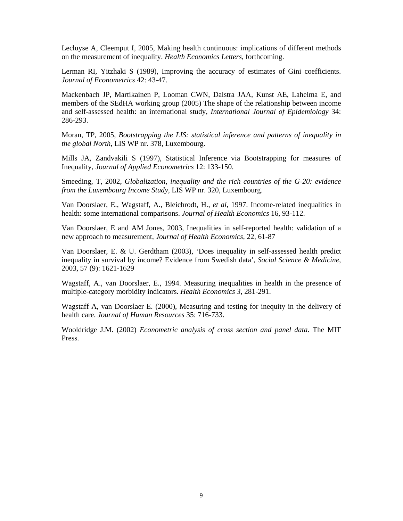Lecluyse A, Cleemput I, 2005, Making health continuous: implications of different methods on the measurement of inequality. *Health Economics Letters*, forthcoming.

Lerman RI, Yitzhaki S (1989), Improving the accuracy of estimates of Gini coefficients. *Journal of Econometrics* 42: 43-47.

Mackenbach JP, Martikainen P, Looman CWN, Dalstra JAA, Kunst AE, Lahelma E, and members of the SEdHA working group (2005) The shape of the relationship between income and self-assessed health: an international study, *International Journal of Epidemiology* 34: 286-293.

Moran, TP, 2005, *Bootstrapping the LIS: statistical inference and patterns of inequality in the global North*, LIS WP nr. 378, Luxembourg.

Mills JA, Zandvakili S (1997), Statistical Inference via Bootstrapping for measures of Inequality, *Journal of Applied Econometrics* 12: 133-150.

Smeeding, T, 2002, *Globalization, inequality and the rich countries of the G-20: evidence from the Luxembourg Income Study*, LIS WP nr. 320, Luxembourg.

Van Doorslaer, E., Wagstaff, A., Bleichrodt, H., *et al*, 1997. Income-related inequalities in health: some international comparisons. *Journal of Health Economics* 16, 93-112.

Van Doorslaer, E and AM Jones, 2003, Inequalities in self-reported health: validation of a new approach to measurement, *Journal of Health Economics,* 22, 61-87

Van Doorslaer, E. & U. Gerdtham (2003), 'Does inequality in self-assessed health predict inequality in survival by income? Evidence from Swedish data', *Social Science & Medicine*, 2003, 57 (9): 1621-1629

Wagstaff, A., van Doorslaer, E., 1994. Measuring inequalities in health in the presence of multiple-category morbidity indicators. *Health Economics 3*, 281-291.

Wagstaff A, van Doorslaer E. (2000), Measuring and testing for inequity in the delivery of health care. *Journal of Human Resources* 35: 716-733.

Wooldridge J.M. (2002) *Econometric analysis of cross section and panel data*. The MIT Press.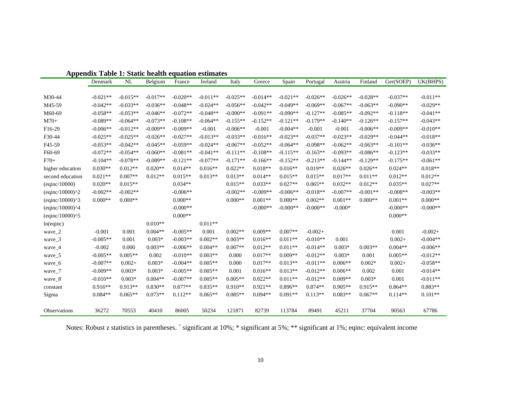|                                | Denmark    | <b>NL</b>  | Belgium    | France     | Ireland    | Italy      | Greece     | Spain      | Portugal   | Austria    | Finland    | Ger(SOEP)  | UK(BHPS)   |
|--------------------------------|------------|------------|------------|------------|------------|------------|------------|------------|------------|------------|------------|------------|------------|
|                                |            |            |            |            |            |            |            |            |            |            |            |            |            |
| M30-44                         | $-0.021**$ | $-0.015**$ | $-0.017**$ | $-0.020**$ | $-0.011**$ | $-0.025**$ | $-0.014**$ | $-0.021**$ | $-0.026**$ | $-0.026**$ | $-0.028**$ | $-0.037**$ | $-0.011**$ |
| M45-59                         | $-0.042**$ | $-0.033**$ | $-0.036**$ | $-0.048**$ | $-0.024**$ | $-0.056**$ | $-0.042**$ | $-0.049**$ | $-0.069**$ | $-0.067**$ | $-0.063**$ | $-0.090**$ | $-0.029**$ |
| M60-69                         | $-0.058**$ | $-0.053**$ | $-0.046**$ | $-0.072**$ | $-0.048**$ | $-0.090**$ | $-0.091**$ | $-0.090**$ | $-0.127**$ | $-0.085**$ | $-0.092**$ | $-0.118**$ | $-0.041**$ |
| $M70+$                         | $-0.089**$ | $-0.064**$ | $-0.073**$ | $-0.108**$ | $-0.064**$ | $-0.155**$ | $-0.152**$ | $-0.121**$ | $-0.179**$ | $-0.140**$ | $-0.126**$ | $-0.157**$ | $-0.043**$ |
| F16-29                         | $-0.006**$ | $-0.012**$ | $-0.009**$ | $-0.009**$ | $-0.001$   | $-0.006**$ | $-0.001$   | $-0.004**$ | $-0.001$   | $-0.001$   | $-0.006**$ | $-0.009**$ | $-0.010**$ |
| F30-44                         | $-0.025**$ | $-0.025**$ | $-0.026**$ | $-0.027**$ | $-0.013**$ | $-0.033**$ | $-0.016**$ | $-0.023**$ | $-0.037**$ | $-0.023**$ | $-0.029**$ | $-0.044**$ | $-0.018**$ |
| F45-59                         | $-0.053**$ | $-0.042**$ | $-0.045**$ | $-0.059**$ | $-0.024**$ | $-0.067**$ | $-0.052**$ | $-0.064**$ | $-0.098**$ | $-0.062**$ | $-0.063**$ | $-0.101**$ | $-0.036**$ |
| F60-69                         | $-0.072**$ | $-0.054**$ | $-0.060**$ | $-0.081**$ | $-0.041**$ | $-0.111**$ | $-0.108**$ | $-0.115**$ | $-0.163**$ | $-0.093**$ | $-0.086**$ | $-0.123**$ | $-0.033**$ |
| $F70+$                         | $-0.104**$ | $-0.078**$ | $-0.089**$ | $-0.121**$ | $-0.077**$ | $-0.171**$ | $-0.166**$ | $-0.152**$ | $-0.213**$ | $-0.144**$ | $-0.129**$ | $-0.175**$ | $-0.061**$ |
| higher education               | $0.030**$  | $0.012**$  | $0.020**$  | $0.014**$  | $0.016**$  | $0.022**$  | $0.018**$  | $0.016**$  | $0.019**$  | $0.026**$  | $0.026**$  | $0.024**$  | $0.018**$  |
| second education               | $0.021**$  | $0.007**$  | $0.012**$  | $0.015**$  | $0.013**$  | $0.013**$  | $0.014**$  | $0.015**$  | $0.015**$  | $0.017**$  | $0.011**$  | $0.012**$  | $0.012**$  |
| $\left($ eqinc $/10000\right)$ | $0.020**$  | $0.015**$  |            | $0.034**$  |            | $0.015**$  | $0.033**$  | $0.027**$  | $0.065**$  | $0.032**$  | $0.012**$  | $0.035**$  | $0.027**$  |
| $(eqinc/10000)^2$              | $-0.002**$ | $-0.002**$ |            | $-0.006**$ |            | $-0.002**$ | $-0.009**$ | $-0.006**$ | $-0.018**$ | $-0.007**$ | $-0.001**$ | $-0.008**$ | $-0.003**$ |
| $(eqinc/10000)^3$              | $0.000**$  | $0.000**$  |            | $0.000**$  |            | $0.000**$  | $0.001**$  | $0.000**$  | $0.002**$  | $0.001**$  | $0.000**$  | $0.001**$  | $0.000**$  |
| $(eqinc/10000)^{4}$            |            |            |            | $-0.000**$ |            |            | $-0.000**$ | $-0.000**$ | $-0.000**$ | $-0.000*$  |            | $-0.000**$ | $-0.000**$ |
| (eqinc/10000)^5                |            |            |            | $0.000**$  |            |            |            |            |            |            |            | $0.000**$  |            |
| ln(eqinc)                      |            |            | $0.010**$  |            | $0.011**$  |            |            |            |            |            |            |            |            |
| wave_2                         | $-0.001$   | 0.001      | $0.004**$  | $-0.005**$ | 0.001      | $0.002**$  | $0.009**$  | $0.007**$  | $-0.002+$  |            |            | 0.001      | $-0.002+$  |
| wave_3                         | $-0.005**$ | 0.001      | $0.003*$   | $-0.003**$ | $0.002**$  | $0.003**$  | $0.016**$  | $0.011**$  | $-0.010**$ | 0.001      |            | $0.002+$   | $-0.004**$ |
| wave_4                         | $-0.002$   | 0.000      | $0.003**$  | $-0.006**$ | $0.004**$  | $0.007**$  | $0.012**$  | $0.011**$  | $-0.014**$ | $0.003*$   | $0.003**$  | $0.004**$  | $-0.006**$ |
| wave_5                         | $-0.005**$ | $0.005**$  | 0.002      | $-0.010**$ | $0.003**$  | 0.000      | $0.017**$  | $0.009**$  | $-0.012**$ | $0.003*$   | 0.001      | $0.005**$  | $-0.012**$ |
| wave_6                         | $-0.007**$ | $0.002+$   | $0.003*$   | $-0.004**$ | $0.005**$  | 0.000      | $0.017**$  | $0.013**$  | $-0.011**$ | $0.006**$  | $0.002*$   | $0.002+$   | $-0.058**$ |
| wave_7                         | $-0.009**$ | $0.003*$   | $0.003*$   | $-0.005**$ | $0.005**$  | 0.001      | $0.016**$  | $0.013**$  | $-0.012**$ | $0.006**$  | 0.002      | 0.001      | $-0.014**$ |
| wave_8                         | $-0.010**$ | $0.003*$   | $0.004**$  | $-0.007**$ | $0.005**$  | $0.005**$  | $0.022**$  | $0.011**$  | $-0.012**$ | $0.009**$  | $0.003*$   | 0.001      | $-0.011**$ |
| constant                       | $0.916**$  | $0.913**$  | $0.830**$  | $0.877**$  | $0.835**$  | $0.910**$  | $0.921**$  | $0.896**$  | $0.874**$  | $0.905**$  | $0.915**$  | $0.864**$  | $0.883**$  |
| Sigma                          | $0.084**$  | $0.065**$  | $0.073**$  | $0.112**$  | $0.065**$  | $0.085**$  | $0.094**$  | $0.091**$  | $0.113**$  | $0.083**$  | $0.067**$  | $0.114**$  | $0.101**$  |
| Observations                   | 36272      | 70553      | 40410      | 86005      | 50234      | 121871     | 82739      | 113784     | 89491      | 45211      | 37704      | 90563      | 67786      |

**Appendix Table 1: Static health equation estimates** 

Notes: Robust z statistics in parentheses. + significant at 10%; \* significant at 5%; \*\* significant at 1%; eqinc: equivalent income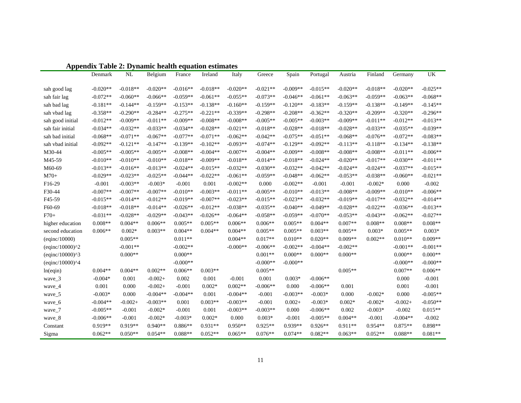|                                | Denmark    | NL         | Belgium    | France     | Ireland    | Italy      | Greece     | Spain      | Portugal   | Austria    | Finland    | Germany    | UK         |
|--------------------------------|------------|------------|------------|------------|------------|------------|------------|------------|------------|------------|------------|------------|------------|
|                                |            |            |            |            |            |            |            |            |            |            |            |            |            |
| sah good lag                   | $-0.020**$ | $-0.018**$ | $-0.020**$ | $-0.016**$ | $-0.018**$ | $-0.020**$ | $-0.021**$ | $-0.009**$ | $-0.015**$ | $-0.020**$ | $-0.018**$ | $-0.020**$ | $-0.025**$ |
| sah fair lag                   | $-0.072**$ | $-0.060**$ | $-0.066**$ | $-0.059**$ | $-0.061**$ | $-0.055**$ | $-0.073**$ | $-0.046**$ | $-0.061**$ | $-0.063**$ | $-0.059**$ | $-0.063**$ | $-0.068**$ |
| sah bad lag                    | $-0.181**$ | $-0.144**$ | $-0.159**$ | $-0.153**$ | $-0.138**$ | $-0.160**$ | $-0.159**$ | $-0.120**$ | $-0.183**$ | $-0.159**$ | $-0.138**$ | $-0.149**$ | $-0.145**$ |
| sah vbad lag                   | $-0.358**$ | $-0.290**$ | $-0.284**$ | $-0.275**$ | $-0.221**$ | $-0.339**$ | $-0.298**$ | $-0.208**$ | $-0.362**$ | $-0.320**$ | $-0.209**$ | $-0.320**$ | $-0.296**$ |
| sah good initial               | $-0.012**$ | $-0.009**$ | $-0.011**$ | $-0.009**$ | $-0.008**$ | $-0.008**$ | $-0.005**$ | $-0.005**$ | $-0.003**$ | $-0.009**$ | $-0.011**$ | $-0.012**$ | $-0.013**$ |
| sah fair initial               | $-0.034**$ | $-0.032**$ | $-0.033**$ | $-0.034**$ | $-0.028**$ | $-0.021**$ | $-0.018**$ | $-0.028**$ | $-0.018**$ | $-0.028**$ | $-0.033**$ | $-0.035**$ | $-0.039**$ |
| sah bad initial                | $-0.068**$ | $-0.071**$ | $-0.067**$ | $-0.077**$ | $-0.071**$ | $-0.062**$ | $-0.042**$ | $-0.075**$ | $-0.051**$ | $-0.068**$ | $-0.076**$ | $-0.072**$ | $-0.083**$ |
| sah vbad initial               | $-0.092**$ | $-0.121**$ | $-0.147**$ | $-0.139**$ | $-0.102**$ | $-0.093**$ | $-0.074**$ | $-0.129**$ | $-0.092**$ | $-0.113**$ | $-0.118**$ | $-0.134**$ | $-0.138**$ |
| M30-44                         | $-0.005**$ | $-0.005**$ | $-0.005**$ | $-0.008**$ | $-0.004**$ | $-0.007**$ | $-0.004**$ | $-0.009**$ | $-0.008**$ | $-0.008**$ | $-0.008**$ | $-0.011**$ | $-0.006**$ |
| M45-59                         | $-0.010**$ | $-0.010**$ | $-0.010**$ | $-0.018**$ | $-0.009**$ | $-0.018**$ | $-0.014**$ | $-0.018**$ | $-0.024**$ | $-0.020**$ | $-0.017**$ | $-0.030**$ | $-0.011**$ |
| M60-69                         | $-0.013**$ | $-0.016**$ | $-0.013**$ | $-0.024**$ | $-0.015**$ | $-0.032**$ | $-0.030**$ | $-0.032**$ | $-0.042**$ | $-0.024**$ | $-0.024**$ | $-0.037**$ | $-0.015**$ |
| $M70+$                         | $-0.029**$ | $-0.023**$ | $-0.025**$ | $-0.044**$ | $-0.022**$ | $-0.061**$ | $-0.059**$ | $-0.048**$ | $-0.062**$ | $-0.053**$ | $-0.038**$ | $-0.060**$ | $-0.021**$ |
| F16-29                         | $-0.001$   | $-0.003**$ | $-0.003*$  | $-0.001$   | 0.001      | $-0.002**$ | 0.000      | $-0.002**$ | $-0.001$   | $-0.001$   | $-0.002*$  | 0.000      | $-0.002$   |
| F30-44                         | $-0.007**$ | $-0.007**$ | $-0.007**$ | $-0.010**$ | $-0.003**$ | $-0.011**$ | $-0.005**$ | $-0.010**$ | $-0.013**$ | $-0.008**$ | $-0.009**$ | $-0.010**$ | $-0.006**$ |
| F45-59                         | $-0.015**$ | $-0.014**$ | $-0.012**$ | $-0.019**$ | $-0.007**$ | $-0.023**$ | $-0.015**$ | $-0.023**$ | $-0.032**$ | $-0.019**$ | $-0.017**$ | $-0.032**$ | $-0.014**$ |
| F60-69                         | $-0.018**$ | $-0.018**$ | $-0.014**$ | $-0.026**$ | $-0.012**$ | $-0.038**$ | $-0.035**$ | $-0.040**$ | $-0.049**$ | $-0.028**$ | $-0.022**$ | $-0.036**$ | $-0.013**$ |
| $F70+$                         | $-0.031**$ | $-0.028**$ | $-0.029**$ | $-0.043**$ | $-0.026**$ | $-0.064**$ | $-0.058**$ | $-0.059**$ | $-0.070**$ | $-0.053**$ | $-0.043**$ | $-0.062**$ | $-0.027**$ |
| higher education               | $0.008**$  | $0.004**$  | $0.006**$  | $0.005**$  | $0.005**$  | $0.006**$  | $0.006**$  | $0.005**$  | $0.004**$  | $0.007**$  | $0.008**$  | $0.008**$  | $0.008**$  |
| second education               | $0.006**$  | $0.002*$   | $0.003**$  | $0.004**$  | $0.004**$  | $0.004**$  | $0.005**$  | $0.005**$  | $0.003**$  | $0.005**$  | $0.003*$   | $0.005**$  | $0.003*$   |
| $\left($ eqinc $/10000\right)$ |            | $0.005**$  |            | $0.011**$  |            | $0.004**$  | $0.017**$  | $0.010**$  | $0.020**$  | $0.009**$  | $0.002**$  | $0.010**$  | $0.009**$  |
| $\frac{100000}{2}$             |            | $-0.001**$ |            | $-0.002**$ |            | $-0.000**$ | $-0.006**$ | $-0.002**$ | $-0.004**$ | $-0.002**$ |            | $-0.001**$ | $-0.001**$ |
| $\frac{100000}{3}$             |            | $0.000**$  |            | $0.000**$  |            |            | $0.001**$  | $0.000**$  | $0.000**$  | $0.000**$  |            | $0.000**$  | $0.000**$  |
| (eqinc/10000)^4                |            |            |            | $-0.000**$ |            |            | $-0.000**$ | $-0.000**$ |            |            |            | $-0.000**$ | $-0.000**$ |
| ln(eqin)                       | $0.004**$  | $0.004**$  | $0.002**$  | $0.006**$  | $0.003**$  |            | $0.005**$  |            |            | $0.005**$  |            | $0.007**$  | $0.006**$  |
| wave_3                         | $-0.004*$  | 0.001      | $-0.002+$  | 0.002      | 0.001      | $-0.001$   | 0.001      | $0.003*$   | $-0.006**$ |            |            | 0.000      | $-0.001$   |
| wave_4                         | 0.001      | 0.000      | $-0.002+$  | $-0.001$   | $0.002*$   | $0.002**$  | $-0.006**$ | 0.000      | $-0.006**$ | 0.001      |            | 0.001      | $-0.001$   |
| wave_5                         | $-0.003*$  | 0.000      | $-0.004**$ | $-0.004**$ | 0.001      | $-0.004**$ | $-0.001$   | $-0.003**$ | $-0.003*$  | 0.000      | $-0.002*$  | 0.000      | $-0.005**$ |
| wave_6                         | $-0.004**$ | $-0.002+$  | $-0.003**$ | 0.001      | $0.003**$  | $-0.003**$ | $-0.001$   | $0.002+$   | $-0.003*$  | $0.002*$   | $-0.002*$  | $-0.002+$  | $-0.050**$ |
| wave_7                         | $-0.005**$ | $-0.001$   | $-0.002*$  | $-0.001$   | 0.001      | $-0.003**$ | $-0.003**$ | 0.000      | $-0.006**$ | 0.002      | $-0.003*$  | $-0.002$   | $0.015**$  |
| wave_8                         | $-0.006**$ | $-0.001$   | $-0.002*$  | $-0.003*$  | $0.002*$   | 0.000      | $0.003*$   | $-0.001$   | $-0.005**$ | $0.004**$  | $-0.001$   | $-0.004**$ | $-0.002$   |
| Constant                       | $0.919**$  | $0.919**$  | $0.940**$  | $0.886**$  | $0.931**$  | $0.950**$  | $0.925**$  | $0.939**$  | $0.926**$  | $0.911**$  | $0.954**$  | $0.875**$  | 0.898**    |
| Sigma                          | $0.062**$  | $0.050**$  | $0.054**$  | $0.088**$  | $0.052**$  | $0.065**$  | $0.076**$  | $0.074**$  | $0.082**$  | $0.063**$  | $0.052**$  | $0.088**$  | $0.081**$  |

| <b>Appendix Table 2: Dynamic health equation estimates</b> |  |  |  |  |  |
|------------------------------------------------------------|--|--|--|--|--|
|------------------------------------------------------------|--|--|--|--|--|

11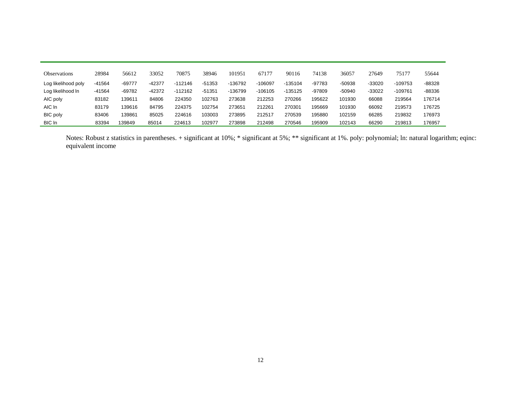| Observations        | 28984    | 56612    | 33052  | 70875     | 38946    | 101951  | 67177     | 90116     | 74138    | 36057    | 27649    | 75177     | 55644  |
|---------------------|----------|----------|--------|-----------|----------|---------|-----------|-----------|----------|----------|----------|-----------|--------|
| Log likelihood poly | $-41564$ | -69777   | -42377 | $-112146$ | $-51353$ | -136792 | $-106097$ | $-135104$ | $-97783$ | -50938   | $-33020$ | $-109753$ | -88328 |
| Log likelihood In   | $-41564$ | $-69782$ | -42372 | $-112162$ | $-51351$ | -136799 | $-106105$ | $-135125$ | -97809   | $-50940$ | -33022   | $-109761$ | -88336 |
| AIC poly            | 83182    | 139611   | 84806  | 224350    | 102763   | 273638  | 212253    | 270266    | 195622   | 101930   | 66088    | 219564    | 176714 |
| AIC In              | 83179    | 139616   | 84795  | 224375    | 102754   | 273651  | 212261    | 270301    | 195669   | 101930   | 66092    | 219573    | 176725 |
| <b>BIC</b> poly     | 83406    | 139861   | 85025  | 224616    | 103003   | 273895  | 212517    | 270539    | 195880   | 102159   | 66285    | 219832    | 176973 |
| BIC In              | 83394    | 139849   | 85014  | 224613    | 102977   | 273898  | 212498    | 270546    | 195909   | 102143   | 66290    | 219813    | 176957 |

Notes: Robust z statistics in parentheses. + significant at 10%; \* significant at 5%; \*\* significant at 1%. poly: polynomial; ln: natural logarithm; eqinc: equivalent income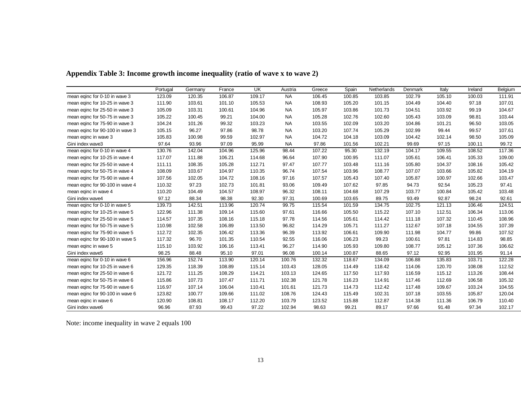|                                 | Portugal | Germany | France | UK     | Austria   | Greece | Spain  | Netherlands | Denmark | Italy  | Ireland | Belgium |
|---------------------------------|----------|---------|--------|--------|-----------|--------|--------|-------------|---------|--------|---------|---------|
| mean eqinc for 0-10 in wave 3   | 123.09   | 120.35  | 106.87 | 109.17 | <b>NA</b> | 106.45 | 100.85 | 103.85      | 102.79  | 105.10 | 100.03  | 111.91  |
| mean eqinc for 10-25 in wave 3  | 111.90   | 103.61  | 101.10 | 105.53 | <b>NA</b> | 108.93 | 105.20 | 101.15      | 104.49  | 104.40 | 97.18   | 107.01  |
| mean eqinc for 25-50 in wave 3  | 105.09   | 103.31  | 100.61 | 104.96 | <b>NA</b> | 105.97 | 103.86 | 101.73      | 104.51  | 103.92 | 99.19   | 104.67  |
| mean eqinc for 50-75 in wave 3  | 105.22   | 100.45  | 99.21  | 104.00 | <b>NA</b> | 105.28 | 102.76 | 102.60      | 105.43  | 103.09 | 98.81   | 103.44  |
| mean eqinc for 75-90 in wave 3  | 104.24   | 101.26  | 99.32  | 103.23 | <b>NA</b> | 103.55 | 102.09 | 103.20      | 104.86  | 101.21 | 96.50   | 103.05  |
| mean eqinc for 90-100 in wave 3 | 105.15   | 96.27   | 97.86  | 98.78  | <b>NA</b> | 103.20 | 107.74 | 105.29      | 102.99  | 99.44  | 99.57   | 107.61  |
| mean eqinc in wave 3            | 105.83   | 100.98  | 99.59  | 102.97 | <b>NA</b> | 104.72 | 104.18 | 103.09      | 104.42  | 102.14 | 98.50   | 105.09  |
| Gini index wave3                | 97.64    | 93.96   | 97.09  | 95.99  | <b>NA</b> | 97.86  | 101.56 | 102.21      | 99.69   | 97.15  | 100.11  | 99.72   |
| mean eqinc for 0-10 in wave 4   | 130.76   | 142.04  | 104.96 | 125.96 | 98.44     | 107.22 | 95.30  | 132.19      | 104.17  | 109.55 | 108.52  | 117.36  |
| mean eqinc for 10-25 in wave 4  | 117.07   | 111.88  | 106.21 | 114.68 | 96.64     | 107.90 | 100.95 | 111.07      | 105.61  | 106.41 | 105.33  | 109.00  |
| mean eqinc for 25-50 in wave 4  | 111.11   | 108.35  | 105.28 | 112.71 | 97.47     | 107.77 | 103.48 | 111.16      | 105.80  | 104.37 | 108.16  | 105.42  |
| mean eqinc for 50-75 in wave 4  | 108.09   | 103.67  | 104.97 | 110.35 | 96.74     | 107.54 | 103.96 | 108.77      | 107.07  | 103.66 | 105.82  | 104.19  |
| mean eqinc for 75-90 in wave 4  | 107.56   | 102.05  | 104.72 | 108.16 | 97.16     | 107.57 | 105.43 | 107.40      | 105.87  | 100.97 | 102.66  | 103.47  |
| mean eqinc for 90-100 in wave 4 | 110.32   | 97.23   | 102.73 | 101.81 | 93.06     | 109.49 | 107.62 | 97.85       | 94.73   | 92.54  | 105.23  | 97.41   |
| mean eqinc in wave 4            | 110.20   | 104.49  | 104.57 | 108.97 | 96.32     | 108.11 | 104.68 | 107.29      | 103.77  | 100.84 | 105.42  | 103.48  |
| Gini index wave4                | 97.12    | 88.34   | 98.38  | 92.30  | 97.31     | 100.69 | 103.65 | 89.75       | 93.49   | 92.87  | 98.24   | 92.61   |
| mean eqinc for 0-10 in wave 5   | 139.73   | 142.51  | 113.96 | 120.74 | 99.75     | 115.54 | 101.59 | 134.75      | 102.75  | 121.13 | 106.46  | 124.51  |
| mean eqinc for 10-25 in wave 5  | 122.96   | 111.38  | 109.14 | 115.60 | 97.61     | 116.66 | 105.50 | 115.22      | 107.10  | 112.51 | 106.34  | 113.06  |
| mean eqinc for 25-50 in wave 5  | 114.57   | 107.35  | 108.16 | 115.18 | 97.78     | 114.56 | 105.61 | 114.42      | 111.18  | 107.32 | 110.45  | 108.96  |
| mean eqinc for 50-75 in wave 5  | 110.98   | 102.58  | 106.89 | 113.50 | 96.82     | 114.29 | 105.71 | 111.27      | 112.67  | 107.18 | 104.55  | 107.39  |
| mean eqinc for 75-90 in wave 5  | 112.72   | 102.35  | 106.42 | 113.36 | 96.39     | 113.92 | 106.61 | 109.90      | 111.98  | 104.77 | 99.86   | 107.52  |
| mean eqinc for 90-100 in wave 5 | 117.32   | 96.70   | 101.35 | 110.54 | 92.55     | 116.06 | 106.23 | 99.23       | 100.61  | 97.81  | 114.83  | 98.85   |
| mean eqinc in wave 5            | 115.10   | 103.92  | 106.16 | 113.41 | 96.27     | 114.90 | 105.93 | 109.80      | 108.77  | 105.12 | 107.36  | 106.62  |
| Gini index wave5                | 98.25    | 88.48   | 95.10  | 97.01  | 96.08     | 100.14 | 100.87 | 88.65       | 97.12   | 92.95  | 101.95  | 91.14   |
| mean eqinc for 0-10 in wave 6   | 156.96   | 152.74  | 113.90 | 120.14 | 100.76    | 132.32 | 118.67 | 134.09      | 106.88  | 135.83 | 103.71  | 122.28  |
| mean eqinc for 10-25 in wave 6  | 129.35   | 118.39  | 108.89 | 115.14 | 103.43    | 128.05 | 114.49 | 118.42      | 114.06  | 120.70 | 108.08  | 112.52  |
| mean eqinc for 25-50 in wave 6  | 121.72   | 111.25  | 108.29 | 114.21 | 103.13    | 124.65 | 117.50 | 117.93      | 116.59  | 115.12 | 113.26  | 108.44  |
| mean eqinc for 50-75 in wave 6  | 115.86   | 107.73  | 107.47 | 111.71 | 102.38    | 121.78 | 116.23 | 114.91      | 117.46  | 112.69 | 106.58  | 105.32  |
| mean eqinc for 75-90 in wave 6  | 116.97   | 107.14  | 106.04 | 110.41 | 101.61    | 121.73 | 114.73 | 112.42      | 117.48  | 109.67 | 103.24  | 104.55  |
| mean eqinc for 90-100 in wave 6 | 123.82   | 100.77  | 109.66 | 111.02 | 108.76    | 124.43 | 115.49 | 102.31      | 107.18  | 103.55 | 105.87  | 120.04  |
| mean eqinc in wave 6            | 120.90   | 108.81  | 108.17 | 112.20 | 103.79    | 123.52 | 115.88 | 112.87      | 114.38  | 111.36 | 106.79  | 110.40  |
| Gini index wave6                | 96.96    | 87.93   | 99.43  | 97.22  | 102.94    | 98.63  | 99.21  | 89.17       | 97.66   | 91.48  | 97.34   | 102.17  |

**Appendix Table 3: Income growth income inequality (ratio of wave x to wave 2)**

Note: income inequality in wave 2 equals 100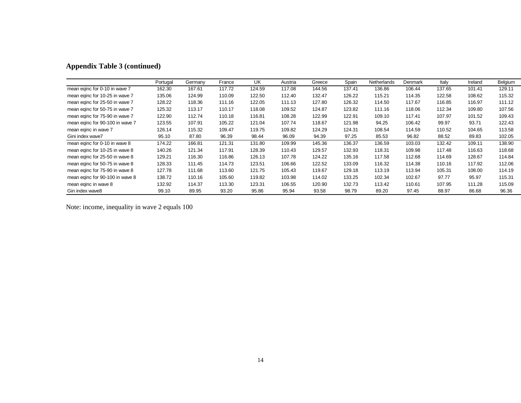|                                 | Portugal | Germany | France | UK     | Austria | Greece | Spain  | Netherlands | Denmark | Italy  | Ireland | Belgium |
|---------------------------------|----------|---------|--------|--------|---------|--------|--------|-------------|---------|--------|---------|---------|
| mean eqinc for 0-10 in wave 7   | 162.30   | 167.61  | 117.72 | 124.59 | 117.08  | 144.56 | 137.41 | 136.86      | 106.44  | 137.65 | 101.41  | 129.11  |
| mean eqinc for 10-25 in wave 7  | 135.06   | 124.99  | 110.09 | 122.50 | 112.40  | 132.47 | 126.22 | 115.21      | 114.35  | 122.58 | 108.62  | 115.32  |
| mean eqinc for 25-50 in wave 7  | 128.22   | 118.36  | 111.16 | 122.05 | 111.13  | 127.80 | 126.32 | 114.50      | 117.67  | 116.85 | 116.97  | 111.12  |
| mean eqinc for 50-75 in wave 7  | 125.32   | 113.17  | 110.17 | 118.08 | 109.52  | 124.87 | 123.82 | 111.16      | 118.06  | 112.34 | 109.80  | 107.56  |
| mean eqinc for 75-90 in wave 7  | 122.90   | 112.74  | 110.18 | 116.81 | 108.28  | 122.99 | 122.91 | 109.10      | 117.41  | 107.97 | 101.52  | 109.43  |
| mean eqinc for 90-100 in wave 7 | 123.55   | 107.91  | 105.22 | 121.04 | 107.74  | 118.67 | 121.98 | 94.25       | 106.42  | 99.97  | 93.71   | 122.43  |
| mean eginc in wave 7            | 126.14   | 115.32  | 109.47 | 119.75 | 109.82  | 124.29 | 124.31 | 108.54      | 114.59  | 110.52 | 104.65  | 113.58  |
| Gini index wave7                | 95.10    | 87.80   | 96.39  | 98.44  | 96.09   | 94.39  | 97.25  | 85.53       | 96.82   | 88.52  | 89.83   | 102.05  |
| mean eqinc for 0-10 in wave 8   | 174.22   | 166.81  | 121.31 | 131.80 | 109.99  | 145.36 | 136.37 | 136.59      | 103.03  | 132.42 | 109.11  | 138.90  |
| mean eqinc for 10-25 in wave 8  | 140.26   | 121.34  | 117.91 | 128.39 | 110.43  | 129.57 | 132.93 | 118.31      | 109.98  | 117.48 | 116.63  | 118.68  |
| mean eqinc for 25-50 in wave 8  | 129.21   | 116.30  | 116.86 | 126.13 | 107.78  | 124.22 | 135.16 | 117.58      | 112.68  | 114.69 | 128.67  | 114.84  |
| mean eqinc for 50-75 in wave 8  | 128.33   | 111.45  | 114.73 | 123.51 | 106.66  | 122.52 | 133.09 | 116.32      | 114.38  | 110.16 | 117.92  | 112.06  |
| mean eqinc for 75-90 in wave 8  | 127.78   | 111.68  | 113.60 | 121.75 | 105.43  | 119.67 | 129.18 | 113.19      | 113.94  | 105.31 | 108.00  | 114.19  |
| mean eqinc for 90-100 in wave 8 | 138.72   | 110.16  | 105.60 | 119.82 | 103.98  | 114.02 | 133.25 | 102.34      | 102.67  | 97.77  | 95.97   | 115.31  |
| mean eginc in wave 8            | 132.92   | 114.37  | 113.30 | 123.31 | 106.55  | 120.90 | 132.73 | 113.42      | 110.61  | 107.95 | 111.28  | 115.09  |
| Gin index wave8                 | 99.10    | 89.95   | 93.20  | 95.86  | 95.94   | 93.58  | 98.79  | 89.20       | 97.45   | 88.97  | 86.68   | 96.36   |

Note: income, inequality in wave 2 equals 100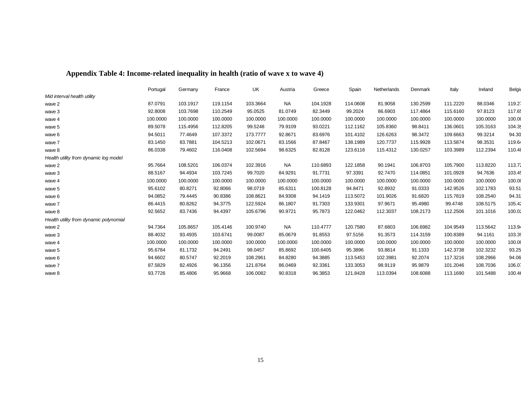|  | Appendix Table 4: Income-related inequality in health (ratio of wave x to wave 4) |  |
|--|-----------------------------------------------------------------------------------|--|
|  |                                                                                   |  |

|                                        | Portugal | Germany  | France   | UK       | Austria   | Greece   | Spain    | Netherlands | Denmark  | Italy    | Ireland  | Belgiu |
|----------------------------------------|----------|----------|----------|----------|-----------|----------|----------|-------------|----------|----------|----------|--------|
| Mid interval health utility            |          |          |          |          |           |          |          |             |          |          |          |        |
| wave 2                                 | 87.0791  | 103.1917 | 119.1154 | 103.3664 | <b>NA</b> | 104.1928 | 114.0608 | 81.9058     | 130.2599 | 111.2220 | 88.0346  | 119.27 |
| wave 3                                 | 92.8008  | 103.7698 | 110.2549 | 95.0525  | 81.0749   | 82.3449  | 99.2024  | 86.6903     | 117.4864 | 115.6160 | 97.8123  | 117.65 |
| wave 4                                 | 100.0000 | 100.0000 | 100.0000 | 100.0000 | 100.0000  | 100.0000 | 100.0000 | 100.0000    | 100.0000 | 100.0000 | 100.0000 | 100.00 |
| wave 5                                 | 89.5078  | 115.4956 | 112.8205 | 99.5248  | 79.9109   | 93.0221  | 112.1162 | 105.8360    | 98.8411  | 136.0601 | 105.3163 | 104.35 |
| wave 6                                 | 94.5011  | 77.4649  | 107.3372 | 173.7777 | 92.8671   | 83.6976  | 101.4102 | 126.6263    | 98.3472  | 109.6663 | 99.3214  | 94.30  |
| wave 7                                 | 83.1450  | 83.7881  | 104.5213 | 102.0671 | 83.1566   | 87.8467  | 138.1989 | 120.7737    | 115.9928 | 113.5874 | 98.3531  | 119.64 |
| wave 8                                 | 86.0338  | 79.4602  | 116.0408 | 102.5694 | 98.6325   | 82.8128  | 123.6116 | 115.4312    | 130.0257 | 103.3989 | 112.2394 | 110.48 |
| Health utility from dynamic log model  |          |          |          |          |           |          |          |             |          |          |          |        |
| wave 2                                 | 95.7664  | 108.5201 | 106.0374 | 102.3916 | <b>NA</b> | 110.6893 | 122.1858 | 90.1941     | 106.8703 | 105.7900 | 113.8220 | 113.72 |
| wave 3                                 | 88.5167  | 94.4934  | 103.7245 | 99.7020  | 84.9291   | 91.7731  | 97.3391  | 92.7470     | 114.0851 | 101.0928 | 94.7636  | 103.45 |
| wave 4                                 | 100.0000 | 100.0000 | 100.0000 | 100.0000 | 100.0000  | 100.0000 | 100.0000 | 100.0000    | 100.0000 | 100.0000 | 100.0000 | 100.00 |
| wave 5                                 | 95.6102  | 80.8271  | 92.8066  | 98.0719  | 85.6311   | 100.8128 | 94.8471  | 92.8932     | 91.0333  | 142.9526 | 102.1783 | 93.51  |
| wave 6                                 | 94.0852  | 79.4445  | 90.8386  | 108.8621 | 84.9308   | 94.1419  | 113.5072 | 101.9026    | 91.6820  | 115.7819 | 108.2540 | 94.31  |
| wave 7                                 | 86.4415  | 80.8262  | 94.3775  | 122.5924 | 86.1807   | 91.7303  | 133.9301 | 97.9671     | 95.4980  | 99.4748  | 108.5175 | 105.42 |
| wave 8                                 | 92.5652  | 83.7436  | 94.4397  | 105.6796 | 90.9721   | 95.7873  | 122.0462 | 112.3037    | 108.2173 | 112.2506 | 101.1016 | 100.02 |
| Health utility from dynamic polynomial |          |          |          |          |           |          |          |             |          |          |          |        |
| wave 2                                 | 94.7364  | 105.8657 | 105.4146 | 100.9740 | <b>NA</b> | 110.4777 | 120.7580 | 87.6803     | 106.6982 | 104.9549 | 113.5642 | 113.94 |
| wave 3                                 | 88.4032  | 93.4935  | 103.6741 | 99.0087  | 85.0679   | 91.8553  | 97.5156  | 91.3573     | 114.3159 | 100.8389 | 94.1161  | 103.39 |
| wave 4                                 | 100.0000 | 100.0000 | 100.0000 | 100.0000 | 100.0000  | 100.0000 | 100.0000 | 100.0000    | 100.0000 | 100.0000 | 100.0000 | 100.00 |
| wave 5                                 | 95.6784  | 81.1732  | 94.2491  | 98.0457  | 85.8692   | 100.6405 | 95.3896  | 93.8814     | 91.1333  | 142.3738 | 102.3232 | 93.25  |
| wave 6                                 | 94.6602  | 80.5747  | 92.2019  | 108.2961 | 84.8280   | 94.3885  | 113.5453 | 102.3981    | 92.2074  | 117.3216 | 108.2966 | 94.06  |
| wave 7                                 | 87.5829  | 82.4926  | 96.1356  | 121.8764 | 86.0469   | 92.3361  | 133.3053 | 98.9119     | 95.9879  | 101.2046 | 108.7036 | 106.07 |
| wave 8                                 | 93.7726  | 85.4806  | 95.9668  | 106.0082 | 90.8318   | 96.3853  | 121.8428 | 113.0394    | 108.6088 | 113.1690 | 101.5488 | 100.46 |